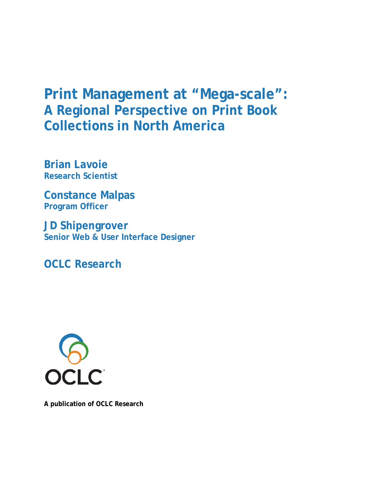# **Print Management at "Mega-scale": A Regional Perspective on Print Book Collections in North America**

**Brian Lavoie Research Scientist**

**Constance Malpas Program Officer**

**JD Shipengrover Senior Web & User Interface Designer**

**OCLC Research**



**A publication of OCLC Research**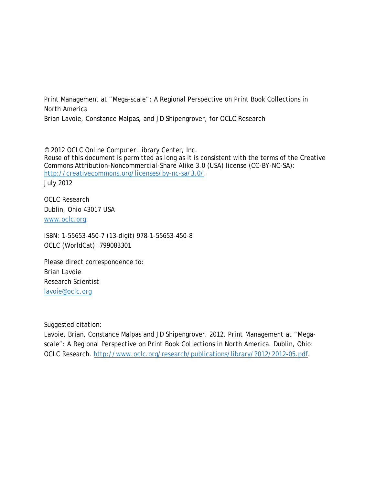Print Management at "Mega-scale": A Regional Perspective on Print Book Collections in North America

Brian Lavoie, Constance Malpas, and JD Shipengrover, for OCLC Research

© 2012 OCLC Online Computer Library Center, Inc. Reuse of this document is permitted as long as it is consistent with the terms of the Creative Commons Attribution-Noncommercial-Share Alike 3.0 (USA) license (CC-BY-NC-SA): [http://creativecommons.org/licenses/by-nc-sa/3.0/.](http://creativecommons.org/licenses/by-nc-sa/3.0/) July 2012

OCLC Research Dublin, Ohio 43017 USA [www.oclc.org](http://www.oclc.org/)

ISBN: 1-55653-450-7 (13-digit) 978-1-55653-450-8 OCLC (WorldCat): 799083301

Please direct correspondence to: Brian Lavoie Research Scientist [lavoie@oclc.org](mailto:lavoie@oclc.org)

Suggested citation:

Lavoie, Brian, Constance Malpas and JD Shipengrover. 2012. *Print Management at "Megascale": A Regional Perspective on Print Book Collections in North America*. Dublin, Ohio: OCLC Research. [http://www.oclc.org/research/publications/library/2012/2012-05.pdf.](http://www.oclc.org/research/publications/library/2012/2012-05.pdf)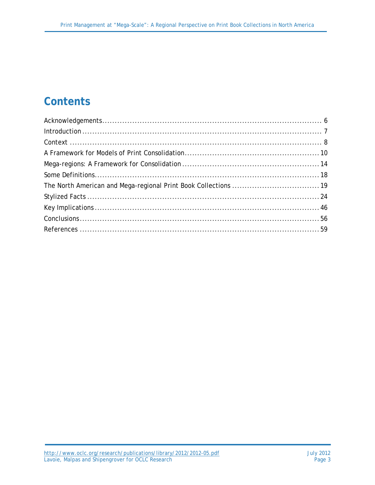# **Contents**

| $Introduction \dots 7$ |  |
|------------------------|--|
|                        |  |
|                        |  |
|                        |  |
|                        |  |
|                        |  |
|                        |  |
|                        |  |
|                        |  |
|                        |  |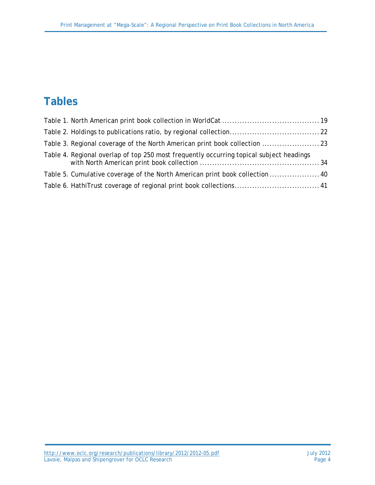# **Tables**

| Table 3. Regional coverage of the North American print book collection  23              |  |
|-----------------------------------------------------------------------------------------|--|
| Table 4. Regional overlap of top 250 most frequently occurring topical subject headings |  |
| Table 5. Cumulative coverage of the North American print book collection  40            |  |
| Table 6. HathiTrust coverage of regional print book collections 41                      |  |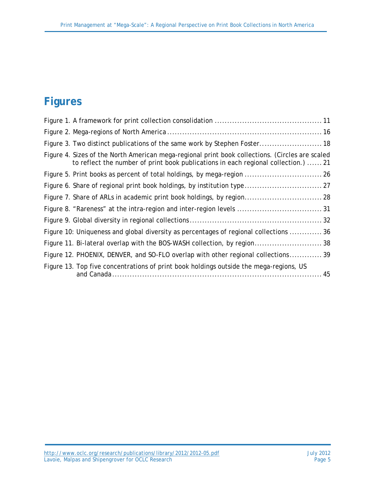# **Figures**

| Figure 3. Two distinct publications of the same work by Stephen Foster 18                                                                                                             |
|---------------------------------------------------------------------------------------------------------------------------------------------------------------------------------------|
| Figure 4. Sizes of the North American mega-regional print book collections. (Circles are scaled<br>to reflect the number of print book publications in each regional collection.)  21 |
| Figure 5. Print books as percent of total holdings, by mega-region  26                                                                                                                |
| Figure 6. Share of regional print book holdings, by institution type 27                                                                                                               |
| Figure 7. Share of ARLs in academic print book holdings, by region 28                                                                                                                 |
| Figure 8. "Rareness" at the intra-region and inter-region levels  31                                                                                                                  |
|                                                                                                                                                                                       |
| Figure 10: Uniqueness and global diversity as percentages of regional collections 36                                                                                                  |
|                                                                                                                                                                                       |
| Figure 12. PHOENIX, DENVER, and SO-FLO overlap with other regional collections 39                                                                                                     |
| Figure 13. Top five concentrations of print book holdings outside the mega-regions, US                                                                                                |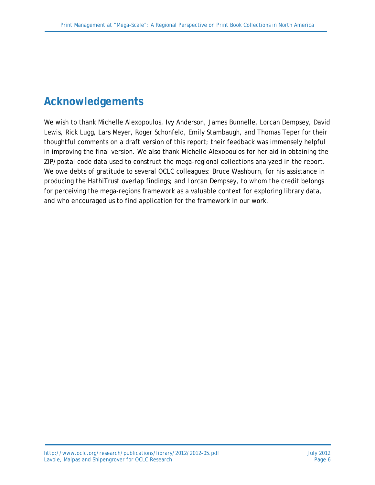# **Acknowledgements**

We wish to thank Michelle Alexopoulos, Ivy Anderson, James Bunnelle, Lorcan Dempsey, David Lewis, Rick Lugg, Lars Meyer, Roger Schonfeld, Emily Stambaugh, and Thomas Teper for their thoughtful comments on a draft version of this report; their feedback was immensely helpful in improving the final version. We also thank Michelle Alexopoulos for her aid in obtaining the ZIP/postal code data used to construct the mega-regional collections analyzed in the report. We owe debts of gratitude to several OCLC colleagues: Bruce Washburn, for his assistance in producing the HathiTrust overlap findings; and Lorcan Dempsey, to whom the credit belongs for perceiving the mega-regions framework as a valuable context for exploring library data, and who encouraged us to find application for the framework in our work.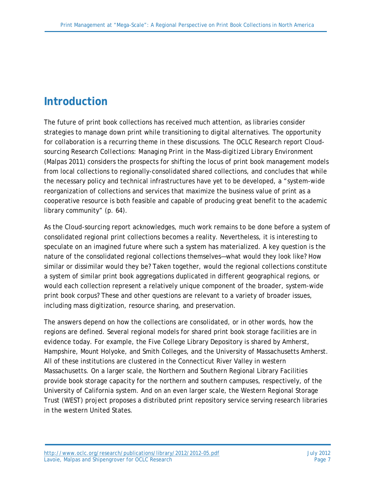# **Introduction**

The future of print book collections has received much attention, as libraries consider strategies to manage down print while transitioning to digital alternatives. The opportunity for collaboration is a recurring theme in these discussions. The OCLC Research report *Cloudsourcing Research Collections: Managing Print in the Mass-digitized Library Environment* (Malpas 2011) considers the prospects for shifting the locus of print book management models from local collections to regionally-consolidated shared collections, and concludes that while the necessary policy and technical infrastructures have yet to be developed, a "system-wide reorganization of collections and services that maximize the business value of print as a cooperative resource is both feasible and capable of producing great benefit to the academic library community" (p. 64).

As the *Cloud-sourcing* report acknowledges, much work remains to be done before a system of consolidated regional print collections becomes a reality. Nevertheless, it is interesting to speculate on an imagined future where such a system has materialized. A key question is the nature of the consolidated regional collections themselves—what would they look like? How similar or dissimilar would they be? Taken together, would the regional collections constitute a system of similar print book aggregations duplicated in different geographical regions, or would each collection represent a relatively unique component of the broader, system-wide print book corpus? These and other questions are relevant to a variety of broader issues, including mass digitization, resource sharing, and preservation.

The answers depend on how the collections are consolidated, or in other words, how the regions are defined. Several regional models for shared print book storage facilities are in evidence today. For example, the Five College Library Depository is shared by Amherst, Hampshire, Mount Holyoke, and Smith Colleges, and the University of Massachusetts Amherst. All of these institutions are clustered in the Connecticut River Valley in western Massachusetts. On a larger scale, the Northern and Southern Regional Library Facilities provide book storage capacity for the northern and southern campuses, respectively, of the University of California system. And on an even larger scale, the Western Regional Storage Trust (WEST) project proposes a distributed print repository service serving research libraries in the western United States.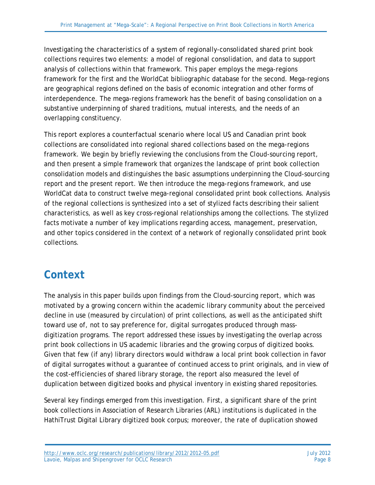Investigating the characteristics of a system of regionally-consolidated shared print book collections requires two elements: a model of regional consolidation, and data to support analysis of collections within that framework. This paper employs the mega-regions framework for the first and the WorldCat bibliographic database for the second. Mega-regions are geographical regions defined on the basis of economic integration and other forms of interdependence. The mega-regions framework has the benefit of basing consolidation on a substantive underpinning of shared traditions, mutual interests, and the needs of an overlapping constituency.

This report explores a counterfactual scenario where local US and Canadian print book collections are consolidated into regional shared collections based on the mega-regions framework. We begin by briefly reviewing the conclusions from the *Cloud-sourcing* report, and then present a simple framework that organizes the landscape of print book collection consolidation models and distinguishes the basic assumptions underpinning the *Cloud-sourcing* report and the present report. We then introduce the mega-regions framework, and use WorldCat data to construct twelve mega-regional consolidated print book collections. Analysis of the regional collections is synthesized into a set of stylized facts describing their salient characteristics, as well as key cross-regional relationships among the collections. The stylized facts motivate a number of key implications regarding access, management, preservation, and other topics considered in the context of a network of regionally consolidated print book collections.

## **Context**

The analysis in this paper builds upon findings from the *Cloud-sourcing* report, which was motivated by a growing concern within the academic library community about the perceived decline in use (measured by circulation) of print collections, as well as the anticipated shift toward use of, not to say preference for, digital surrogates produced through massdigitization programs. The report addressed these issues by investigating the overlap across print book collections in US academic libraries and the growing corpus of digitized books. Given that few (if any) library directors would withdraw a local print book collection in favor of digital surrogates without a guarantee of continued access to print originals, and in view of the cost-efficiencies of shared library storage, the report also measured the level of duplication between digitized books and physical inventory in existing shared repositories.

Several key findings emerged from this investigation. First, a significant share of the print book collections in Association of Research Libraries (ARL) institutions is duplicated in the HathiTrust Digital Library digitized book corpus; moreover, the rate of duplication showed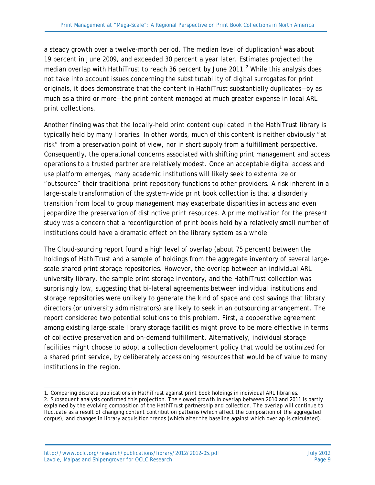a steady growth over a twelve-month period. The median level of duplication<sup>[1](#page-8-0)</sup> was about 19 percent in June 2009, and exceeded 30 percent a year later. Estimates projected the median overlap with HathiTrust to reach 36 percent by June [2](#page-8-1)011.<sup>2</sup> While this analysis does not take into account issues concerning the substitutability of digital surrogates for print originals, it does demonstrate that the content in HathiTrust substantially duplicates—by as much as a third or more—the print content managed at much greater expense in local ARL print collections.

Another finding was that the locally-held print content duplicated in the HathiTrust library is typically held by many libraries. In other words, much of this content is neither obviously "at risk" from a preservation point of view, nor in short supply from a fulfillment perspective. Consequently, the operational concerns associated with shifting print management and access operations to a trusted partner are relatively modest. Once an acceptable digital access and use platform emerges, many academic institutions will likely seek to externalize or "outsource" their traditional print repository functions to other providers. A risk inherent in a large-scale transformation of the system-wide print book collection is that a disorderly transition from local to group management may exacerbate disparities in access and even jeopardize the preservation of distinctive print resources. A prime motivation for the present study was a concern that a reconfiguration of print books held by a relatively small number of institutions could have a dramatic effect on the library system as a whole.

The *Cloud-sourcing* report found a high level of overlap (about 75 percent) between the holdings of HathiTrust and a sample of holdings from the aggregate inventory of several largescale shared print storage repositories. However, the overlap between an individual ARL university library, the sample print storage inventory, and the HathiTrust collection was surprisingly low, suggesting that bi-lateral agreements between individual institutions and storage repositories were unlikely to generate the kind of space and cost savings that library directors (or university administrators) are likely to seek in an outsourcing arrangement. The report considered two potential solutions to this problem. First, a cooperative agreement among existing large-scale library storage facilities might prove to be more effective in terms of collective preservation and on-demand fulfillment. Alternatively, individual storage facilities might choose to adopt a collection development policy that would be optimized for a shared print service, by deliberately accessioning resources that would be of value to many institutions in the region.

<span id="page-8-0"></span> $\overline{a}$ 1. Comparing discrete publications in HathiTrust against print book holdings in individual ARL libraries.

<span id="page-8-1"></span><sup>2.</sup> Subsequent analysis confirmed this projection. The slowed growth in overlap between 2010 and 2011 is partly explained by the evolving composition of the HathiTrust partnership and collection. The overlap will continue to fluctuate as a result of changing content contribution patterns (which affect the composition of the aggregated corpus), and changes in library acquisition trends (which alter the baseline against which overlap is calculated).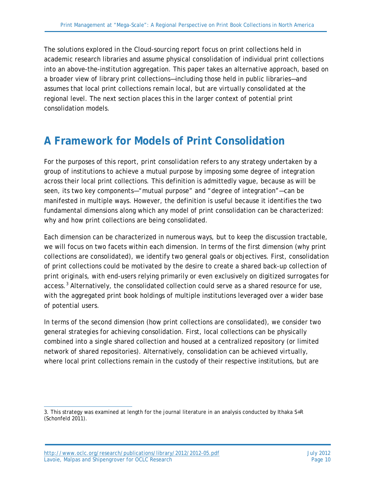The solutions explored in the *Cloud-sourcing* report focus on print collections held in academic research libraries and assume physical consolidation of individual print collections into an above-the-institution aggregation. This paper takes an alternative approach, based on a broader view of library print collections—including those held in public libraries—and assumes that local print collections remain local, but are *virtually* consolidated at the regional level. The next section places this in the larger context of potential print consolidation models.

### **A Framework for Models of Print Consolidation**

For the purposes of this report, *print consolidation* refers to any strategy undertaken by a group of institutions to achieve a mutual purpose by imposing some degree of integration across their local print collections. This definition is admittedly vague, because as will be seen, its two key components—"mutual purpose" and "degree of integration"—can be manifested in multiple ways. However, the definition is useful because it identifies the two fundamental dimensions along which any model of print consolidation can be characterized: *why and how* print collections are being consolidated.

Each dimension can be characterized in numerous ways, but to keep the discussion tractable, we will focus on two facets within each dimension. In terms of the first dimension (why print collections are consolidated), we identify two general goals or objectives. First, consolidation of print collections could be motivated by the desire to create a *shared back-up collection of print originals*, with end-users relying primarily or even exclusively on digitized surrogates for access.[3](#page-9-0) Alternatively, the consolidated collection could serve as a *shared resource for use*, with the aggregated print book holdings of multiple institutions leveraged over a wider base of potential users.

In terms of the second dimension (how print collections are consolidated), we consider two general strategies for achieving consolidation. First, local collections can be physically combined into a single shared collection and housed at a centralized repository (or limited network of shared repositories). Alternatively, consolidation can be achieved *virtually*, where local print collections remain in the custody of their respective institutions, but are

<span id="page-9-0"></span> $\overline{a}$ 3. This strategy was examined at length for the journal literature in an analysis conducted by Ithaka S+R (Schonfeld 2011).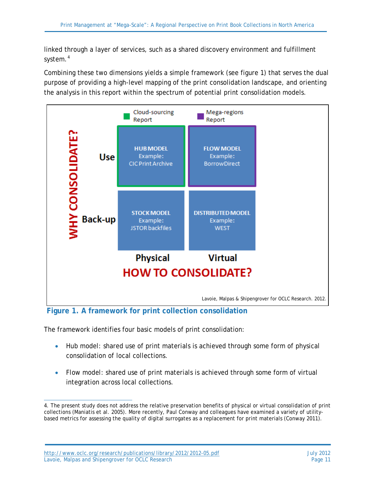linked through a layer of services, such as a shared discovery environment and fulfillment system.<sup>[4](#page-10-0)</sup>

Combining these two dimensions yields a simple framework (see figure 1) that serves the dual purpose of providing a high-level mapping of the print consolidation landscape, and orienting the analysis in this report within the spectrum of potential print consolidation models.



**Figure 1. A framework for print collection consolidation**

The framework identifies four basic models of print consolidation:

- *Hub model*: shared use of print materials is achieved through some form of physical consolidation of local collections.
- *Flow model*: shared use of print materials is achieved through some form of virtual integration across local collections.

<span id="page-10-0"></span> $\overline{a}$ 4. The present study does not address the relative preservation benefits of physical or virtual consolidation of print collections (Maniatis et al. 2005). More recently, Paul Conway and colleagues have examined a variety of utilitybased metrics for assessing the quality of digital surrogates as a replacement for print materials (Conway 2011).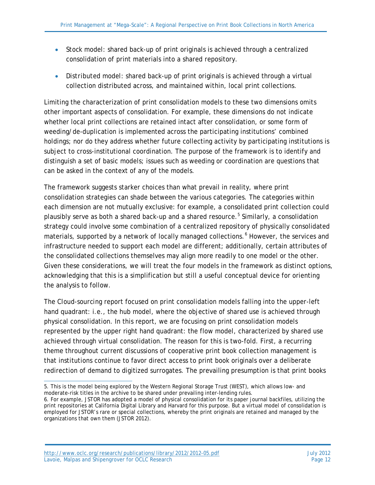- *Stock model*: shared back-up of print originals is achieved through a centralized consolidation of print materials into a shared repository.
- *Distributed model*: shared back-up of print originals is achieved through a virtual collection distributed across, and maintained within, local print collections.

Limiting the characterization of print consolidation models to these two dimensions omits other important aspects of consolidation. For example, these dimensions do not indicate whether local print collections are retained intact after consolidation, or some form of weeding/de-duplication is implemented across the participating institutions' combined holdings; nor do they address whether future collecting activity by participating institutions is subject to cross-institutional coordination. The purpose of the framework is to identify and distinguish a set of basic models; issues such as weeding or coordination are questions that can be asked in the context of any of the models.

The framework suggests starker choices than what prevail in reality, where print consolidation strategies can shade between the various categories. The categories within each dimension are not mutually exclusive: for example, a consolidated print collection could plausibly serve as both a shared back-up *and* a shared resource.<sup>[5](#page-11-0)</sup> Similarly, a consolidation strategy could involve some combination of a centralized repository of physically consolidated materials, supported by a network of locally managed collections.<sup>[6](#page-11-1)</sup> However, the services and infrastructure needed to support each model are different; additionally, certain attributes of the consolidated collections themselves may align more readily to one model or the other. Given these considerations, we will treat the four models in the framework as distinct options, acknowledging that this is a simplification but still a useful conceptual device for orienting the analysis to follow.

The *Cloud-sourcing* report focused on print consolidation models falling into the upper-left hand quadrant: i.e., the hub model, where the objective of shared use is achieved through physical consolidation. In this report, we are focusing on print consolidation models represented by the upper right hand quadrant: the flow model, characterized by shared use achieved through virtual consolidation. The reason for this is two-fold. First, a recurring theme throughout current discussions of cooperative print book collection management is that institutions continue to favor direct access to print book originals over a deliberate redirection of demand to digitized surrogates. The prevailing presumption is that print books

<span id="page-11-0"></span> $\overline{a}$ 5. This is the model being explored by the Western Regional Storage Trust (WEST), which allows low- and moderate-risk titles in the archive to be shared under prevailing inter-lending rules.

<span id="page-11-1"></span><sup>6.</sup> For example, JSTOR has adopted a model of physical consolidation for its paper journal backfiles, utilizing the print repositories at California Digital Library and Harvard for this purpose. But a virtual model of consolidation is employed for JSTOR's rare or special collections, whereby the print originals are retained and managed by the organizations that own them (JSTOR 2012).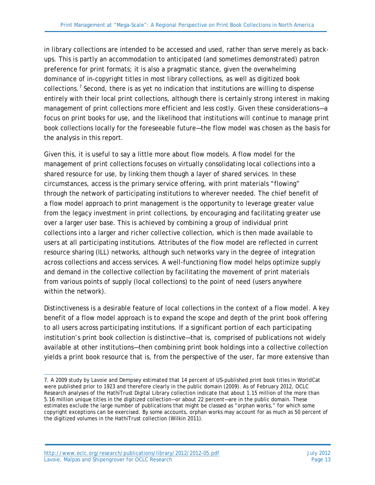in library collections are intended to be accessed and used, rather than serve merely as backups. This is partly an accommodation to anticipated (and sometimes demonstrated) patron preference for print formats; it is also a pragmatic stance, given the overwhelming dominance of in-copyright titles in most library collections, as well as digitized book collections.<sup>[7](#page-12-0)</sup> Second, there is as yet no indication that institutions are willing to dispense entirely with their local print collections, although there is certainly strong interest in making management of print collections more efficient and less costly. Given these considerations—a focus on print books for use, and the likelihood that institutions will continue to manage print book collections locally for the foreseeable future—the flow model was chosen as the basis for the analysis in this report.

Given this, it is useful to say a little more about flow models. A flow model for the management of print collections focuses on virtually consolidating local collections into a shared resource for use, by linking them though a layer of shared services. In these circumstances, access is the primary service offering, with print materials "flowing" through the network of participating institutions to wherever needed. The chief benefit of a flow model approach to print management is the opportunity to leverage greater value from the legacy investment in print collections, by encouraging and facilitating greater use over a larger user base. This is achieved by combining a group of individual print collections into a larger and richer collective collection, which is then made available to users at all participating institutions. Attributes of the flow model are reflected in current resource sharing (ILL) networks, although such networks vary in the degree of integration across collections and access services. A well-functioning flow model helps optimize supply and demand in the collective collection by facilitating the movement of print materials from various points of supply (local collections) to the point of need (users anywhere within the network).

Distinctiveness is a desirable feature of local collections in the context of a flow model. A key benefit of a flow model approach is to expand the scope and depth of the print book offering to all users across participating institutions. If a significant portion of each participating institution's print book collection is distinctive—that is, comprised of publications not widely available at other institutions—then combining print book holdings into a collective collection yields a print book resource that is, from the perspective of the user, far more extensive than

<span id="page-12-0"></span> $\overline{a}$ 7. A 2009 study by Lavoie and Dempsey estimated that 14 percent of US-published print book titles in WorldCat were published prior to 1923 and therefore clearly in the public domain (2009). As of February 2012, OCLC Research analyses of the HathiTrust Digital Library collection indicate that about 1.15 million of the more than 5.16 million unique titles in the digitized collection—or about 22 percent—are in the public domain. These estimates exclude the large number of publications that might be classed as "orphan works," for which some copyright exceptions can be exercised. By some accounts, orphan works may account for as much as 50 percent of the digitized volumes in the HathiTrust collection (Wilkin 2011).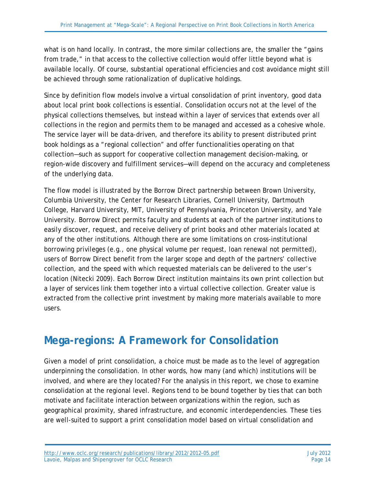what is on hand locally. In contrast, the more similar collections are, the smaller the "gains from trade," in that access to the collective collection would offer little beyond what is available locally. Of course, substantial operational efficiencies and cost avoidance might still be achieved through some rationalization of duplicative holdings.

Since by definition flow models involve a virtual consolidation of print inventory, good data about local print book collections is essential. Consolidation occurs not at the level of the physical collections themselves, but instead within a layer of services that extends over all collections in the region and permits them to be managed and accessed as a cohesive whole. The service layer will be data-driven, and therefore its ability to present distributed print book holdings as a "regional collection" and offer functionalities operating on that collection—such as support for cooperative collection management decision-making, or region-wide discovery and fulfillment services—will depend on the accuracy and completeness of the underlying data.

The flow model is illustrated by the Borrow Direct partnership between Brown University, Columbia University, the Center for Research Libraries, Cornell University, Dartmouth College, Harvard University, MIT, University of Pennsylvania, Princeton University, and Yale University. Borrow Direct permits faculty and students at each of the partner institutions to easily discover, request, and receive delivery of print books and other materials located at any of the other institutions. Although there are some limitations on cross-institutional borrowing privileges (e.g., one physical volume per request, loan renewal not permitted), users of Borrow Direct benefit from the larger scope and depth of the partners' collective collection, and the speed with which requested materials can be delivered to the user's location (Nitecki 2009). Each Borrow Direct institution maintains its own print collection but a layer of services link them together into a virtual collective collection. Greater value is extracted from the collective print investment by making more materials available to more users.

## **Mega-regions: A Framework for Consolidation**

Given a model of print consolidation, a choice must be made as to the level of aggregation underpinning the consolidation. In other words, how many (and which) institutions will be involved, and where are they located? For the analysis in this report, we chose to examine consolidation at the regional level. Regions tend to be bound together by ties that can both motivate and facilitate interaction between organizations within the region, such as geographical proximity, shared infrastructure, and economic interdependencies. These ties are well-suited to support a print consolidation model based on virtual consolidation and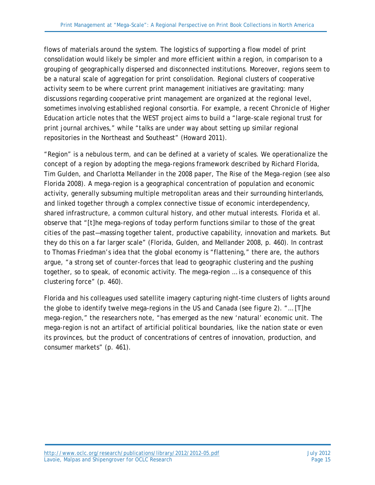flows of materials around the system. The logistics of supporting a flow model of print consolidation would likely be simpler and more efficient within a region, in comparison to a grouping of geographically dispersed and disconnected institutions. Moreover, regions seem to be a natural scale of aggregation for print consolidation. Regional clusters of cooperative activity seem to be where current print management initiatives are gravitating: many discussions regarding cooperative print management are organized at the regional level, sometimes involving established regional consortia. For example, a recent *Chronicle of Higher Education* article notes that the WEST project aims to build a "large-scale regional trust for print journal archives," while "talks are under way about setting up similar regional repositories in the Northeast and Southeast" (Howard 2011).

"Region" is a nebulous term, and can be defined at a variety of scales. We operationalize the concept of a region by adopting the mega-regions framework described by Richard Florida, Tim Gulden, and Charlotta Mellander in the 2008 paper, *The Rise of the Mega-region* (see also Florida 2008). A mega-region is a geographical concentration of population and economic activity, generally subsuming multiple metropolitan areas and their surrounding hinterlands, and linked together through a complex connective tissue of economic interdependency, shared infrastructure, a common cultural history, and other mutual interests. Florida et al. observe that "[t]he mega-regions of today perform functions similar to those of the great cities of the past—massing together talent, productive capability, innovation and markets. But they do this on a far larger scale" (Florida, Gulden, and Mellander 2008, p. 460). In contrast to Thomas Friedman's idea that the global economy is "flattening," there are, the authors argue, "a strong set of counter-forces that lead to geographic clustering and the pushing together, so to speak, of economic activity. The mega-region … is a consequence of this clustering force" (p. 460).

Florida and his colleagues used satellite imagery capturing night-time clusters of lights around the globe to identify twelve mega-regions in the US and Canada (see figure 2). "… [T]he mega-region," the researchers note, "has emerged as the new 'natural' economic unit. The mega-region is not an artifact of artificial political boundaries, like the nation state or even its provinces, but the product of concentrations of centres of innovation, production, and consumer markets" (p. 461).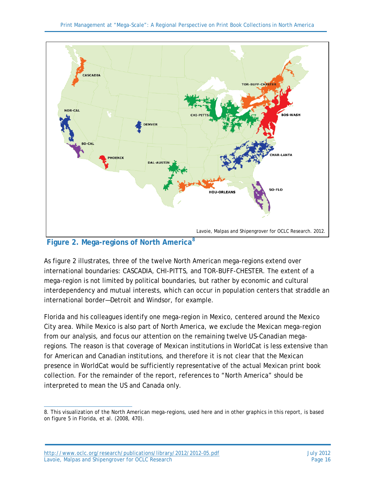

**Figure 2. Mega-regions of North America[8](#page-15-0)**

As figure 2 illustrates, three of the twelve North American mega-regions extend over international boundaries: CASCADIA, CHI-PITTS, and TOR-BUFF-CHESTER. The extent of a mega-region is not limited by political boundaries, but rather by economic and cultural interdependency and mutual interests, which can occur in population centers that straddle an international border—Detroit and Windsor, for example.

Florida and his colleagues identify one mega-region in Mexico, centered around the Mexico City area. While Mexico is also part of North America, we exclude the Mexican mega-region from our analysis, and focus our attention on the remaining twelve US-Canadian megaregions. The reason is that coverage of Mexican institutions in WorldCat is less extensive than for American and Canadian institutions, and therefore it is not clear that the Mexican presence in WorldCat would be sufficiently representative of the actual Mexican print book collection. For the remainder of the report, references to "North America" should be interpreted to mean the US and Canada only.

<span id="page-15-0"></span> $\overline{a}$ 8. This visualization of the North American mega-regions, used here and in other graphics in this report, is based on figure 5 in Florida, et al. (2008, 470).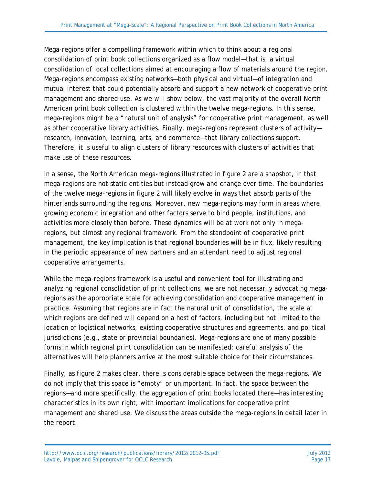Mega-regions offer a compelling framework within which to think about a regional consolidation of print book collections organized as a flow model—that is, a virtual consolidation of local collections aimed at encouraging a flow of materials around the region. Mega-regions encompass existing networks—both physical and virtual—of integration and mutual interest that could potentially absorb and support a new network of cooperative print management and shared use. As we will show below, the vast majority of the overall North American print book collection is clustered within the twelve mega-regions. In this sense, mega-regions might be a "natural unit of analysis" for cooperative print management, as well as other cooperative library activities. Finally, mega-regions represent clusters of activity research, innovation, learning, arts, and commerce—that library collections support. Therefore, it is useful to align clusters of library resources with clusters of activities that make use of these resources.

In a sense, the North American mega-regions illustrated in figure 2 are a snapshot, in that mega-regions are not static entities but instead grow and change over time. The boundaries of the twelve mega-regions in figure 2 will likely evolve in ways that absorb parts of the hinterlands surrounding the regions. Moreover, new mega-regions may form in areas where growing economic integration and other factors serve to bind people, institutions, and activities more closely than before. These dynamics will be at work not only in megaregions, but almost any regional framework. From the standpoint of cooperative print management, the key implication is that regional boundaries will be in flux, likely resulting in the periodic appearance of new partners and an attendant need to adjust regional cooperative arrangements.

While the mega-regions framework is a useful and convenient tool for illustrating and analyzing regional consolidation of print collections, we are not necessarily advocating megaregions as the appropriate scale for achieving consolidation and cooperative management in practice. Assuming that regions are in fact the natural unit of consolidation, the scale at which regions are defined will depend on a host of factors, including but not limited to the location of logistical networks, existing cooperative structures and agreements, and political jurisdictions (e.g., state or provincial boundaries). Mega-regions are one of many possible forms in which regional print consolidation can be manifested; careful analysis of the alternatives will help planners arrive at the most suitable choice for their circumstances.

Finally, as figure 2 makes clear, there is considerable space *between* the mega-regions. We do not imply that this space is "empty" or unimportant. In fact, the space between the regions—and more specifically, the aggregation of print books located there—has interesting characteristics in its own right, with important implications for cooperative print management and shared use. We discuss the areas outside the mega-regions in detail later in the report.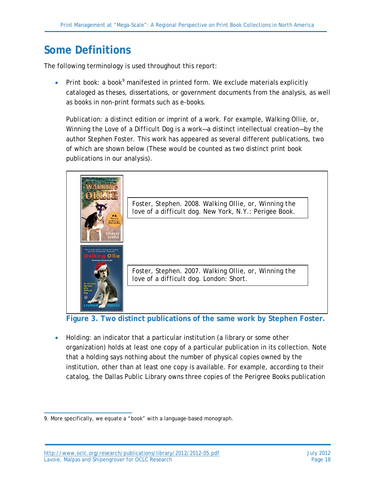## **Some Definitions**

The following terminology is used throughout this report:

• Print book: a book<sup>[9](#page-17-0)</sup> manifested in printed form. We exclude materials explicitly cataloged as theses, dissertations, or government documents from the analysis, as well as books in non-print formats such as e-books.

*Publication*: a distinct edition or imprint of a work. For example, *Walking Ollie, or, Winning the Love of a Difficult Dog* is a work—a distinct intellectual creation—by the author Stephen Foster. This work has appeared as several different publications, two of which are shown below (These would be counted as two distinct print book publications in our analysis).



**Figure 3. Two distinct publications of the same work by Stephen Foster.**

• *Holding*: an indicator that a particular institution (a library or some other organization) holds at least one copy of a particular publication in its collection. Note that a holding says nothing about the number of physical copies owned by the institution, other than at least one copy is available. For example, according to their catalog, the Dallas Public Library owns three copies of the Perigree Books publication

<span id="page-17-0"></span> $\overline{a}$ 9. More specifically, we equate a "book" with a language-based monograph.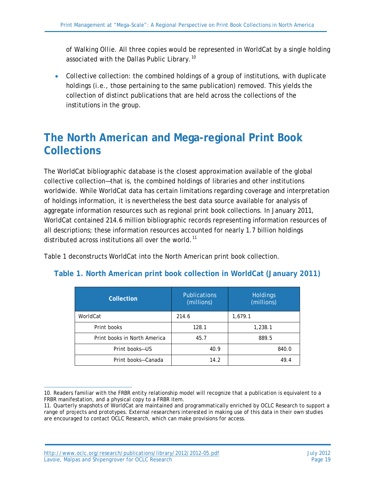of *Walking Ollie*. All three copies would be represented in WorldCat by a single holding associated with the Dallas Public Library.<sup>[10](#page-18-0)</sup>

• *Collective collection*: the combined holdings of a group of institutions, with duplicate holdings (i.e., those pertaining to the same publication) removed. This yields the collection of distinct publications that are held across the collections of the institutions in the group.

### **The North American and Mega-regional Print Book Collections**

The WorldCat bibliographic database is the closest approximation available of the global collective collection—that is, the combined holdings of libraries and other institutions worldwide. While WorldCat data has certain limitations regarding coverage and interpretation of holdings information, it is nevertheless the best data source available for analysis of aggregate information resources such as regional print book collections. In January 2011, WorldCat contained 214.6 million bibliographic records representing information resources of all descriptions; these information resources accounted for nearly 1.7 billion holdings distributed across institutions all over the world.<sup>[11](#page-18-1)</sup>

Table 1 deconstructs WorldCat into the North American print book collection.

| Collection                   | <b>Publications</b><br>(millions) | <b>Holdings</b><br>(millions) |
|------------------------------|-----------------------------------|-------------------------------|
| WorldCat                     | 214.6                             | 1,679.1                       |
| Print books                  | 128.1                             | 1,238.1                       |
| Print books in North America | 45.7                              | 889.5                         |
| Print books-US               | 40.9                              | 840.0                         |
| Print books-Canada           | 14.2                              | 49.4                          |

#### **Table 1. North American print book collection in WorldCat (January 2011)**

<span id="page-18-0"></span> $\overline{a}$ 10. Readers familiar with the FRBR entity relationship model will recognize that a publication is equivalent to a FRBR manifestation, and a physical copy to a FRBR item.

<span id="page-18-1"></span><sup>11.</sup> Quarterly snapshots of WorldCat are maintained and programmatically enriched by OCLC Research to support a range of projects and prototypes. External researchers interested in making use of this data in their own studies are encouraged to contact OCLC Research, which can make provisions for access.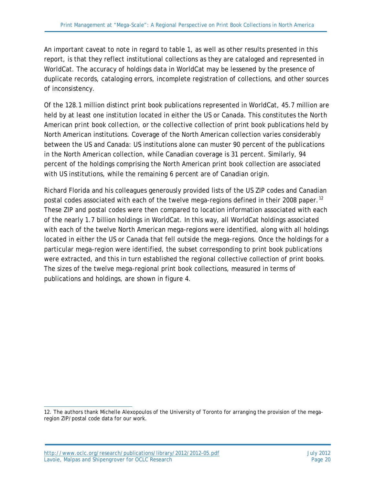An important caveat to note in regard to table 1, as well as other results presented in this report, is that they reflect institutional collections as they are cataloged and represented in WorldCat. The accuracy of holdings data in WorldCat may be lessened by the presence of duplicate records, cataloging errors, incomplete registration of collections, and other sources of inconsistency.

Of the 128.1 million distinct print book publications represented in WorldCat, 45.7 million are held by at least one institution located in either the US or Canada. This constitutes the *North American print book collection*, or the collective collection of print book publications held by North American institutions. Coverage of the North American collection varies considerably between the US and Canada: US institutions alone can muster 90 percent of the publications in the North American collection, while Canadian coverage is 31 percent. Similarly, 94 percent of the holdings comprising the North American print book collection are associated with US institutions, while the remaining 6 percent are of Canadian origin.

Richard Florida and his colleagues generously provided lists of the US ZIP codes and Canadian postal codes associated with each of the twelve mega-regions defined in their 2008 paper.<sup>[12](#page-19-0)</sup> These ZIP and postal codes were then compared to location information associated with each of the nearly 1.7 billion holdings in WorldCat. In this way, all WorldCat holdings associated with each of the twelve North American mega-regions were identified, along with all holdings located in either the US or Canada that fell outside the mega-regions. Once the holdings for a particular mega-region were identified, the subset corresponding to print book publications were extracted, and this in turn established the regional collective collection of print books. The sizes of the twelve mega-regional print book collections, measured in terms of publications and holdings, are shown in figure 4.

<span id="page-19-0"></span> $\overline{a}$ 12. The authors thank Michelle Alexopoulos of the University of Toronto for arranging the provision of the megaregion ZIP/postal code data for our work.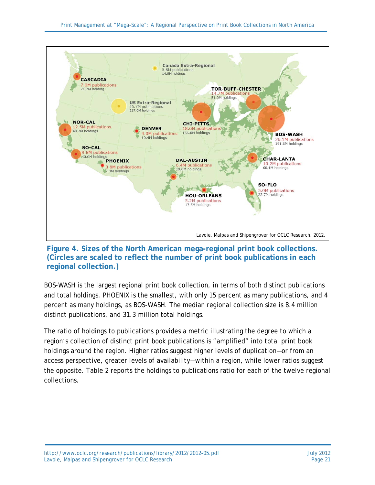

**Figure 4. Sizes of the North American mega-regional print book collections. (Circles are scaled to reflect the number of print book publications in each regional collection.)**

BOS-WASH is the largest regional print book collection, in terms of both distinct publications and total holdings. PHOENIX is the smallest, with only 15 percent as many publications, and 4 percent as many holdings, as BOS-WASH. The median regional collection size is 8.4 million distinct publications, and 31.3 million total holdings.

The ratio of holdings to publications provides a metric illustrating the degree to which a region's collection of distinct print book publications is "amplified" into total print book holdings around the region. Higher ratios suggest higher levels of duplication—or from an access perspective, greater levels of availability—within a region, while lower ratios suggest the opposite. Table 2 reports the holdings to publications ratio for each of the twelve regional collections.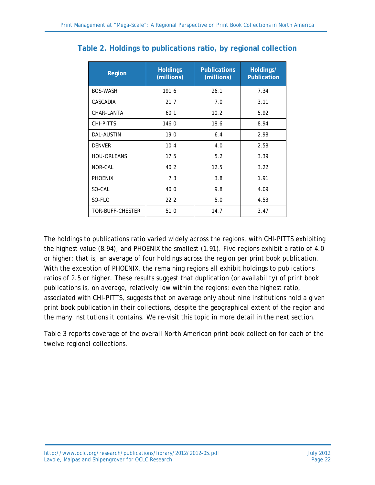| <b>Region</b>      | <b>Holdings</b><br>(millions) | <b>Publications</b><br>(millions) | Holdings/<br><b>Publication</b> |
|--------------------|-------------------------------|-----------------------------------|---------------------------------|
| <b>BOS-WASH</b>    | 191.6                         | 26.1                              | 7.34                            |
| CASCADIA           | 21.7                          | 7.0                               | 3.11                            |
| CHAR-LANTA         | 60.1                          | 10.2                              | 5.92                            |
| CHI-PITTS          | 146.0                         | 18.6                              | 8.94                            |
| <b>DAL-AUSTIN</b>  | 19.0                          | 6.4                               | 2.98                            |
| <b>DENVER</b>      | 10.4                          | 4.0                               | 2.58                            |
| <b>HOU-ORLEANS</b> | 17.5                          | 5.2                               | 3.39                            |
| NOR-CAL            | 40.2                          | 12.5                              | 3.22                            |
| <b>PHOENIX</b>     | 7.3                           | 3.8                               | 1.91                            |
| SO-CAL             | 40.0                          | 9.8                               | 4.09                            |
| SO-FLO             | 22.2                          | 5.0                               | 4.53                            |
| TOR-BUFF-CHESTER   | 51.0                          | 14.7                              | 3.47                            |

#### **Table 2. Holdings to publications ratio, by regional collection**

The holdings to publications ratio varied widely across the regions, with CHI-PITTS exhibiting the highest value (8.94), and PHOENIX the smallest (1.91). Five regions exhibit a ratio of 4.0 or higher: that is, an average of four holdings across the region per print book publication. With the exception of PHOENIX, the remaining regions all exhibit holdings to publications ratios of 2.5 or higher. These results suggest that duplication (or availability) of print book publications is, on average, relatively low within the regions: even the highest ratio, associated with CHI-PITTS, suggests that on average only about nine institutions hold a given print book publication in their collections, despite the geographical extent of the region and the many institutions it contains. We re-visit this topic in more detail in the next section.

Table 3 reports coverage of the overall North American print book collection for each of the twelve regional collections.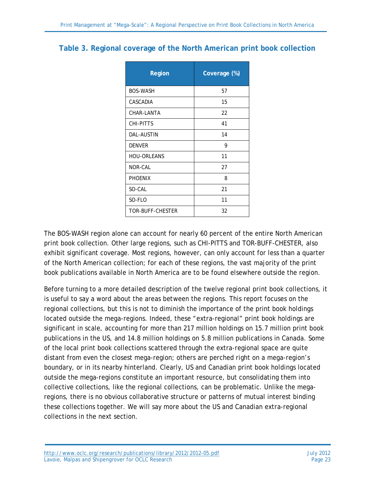#### **Table 3. Regional coverage of the North American print book collection**

| Region             | Coverage (%) |
|--------------------|--------------|
| <b>BOS-WASH</b>    | 57           |
| CASCADIA           | 15           |
| CHAR-LANTA         | 22           |
| CHI-PITTS          | 41           |
| <b>DAL-AUSTIN</b>  | 14           |
| <b>DENVER</b>      | 9            |
| <b>HOU-ORLEANS</b> | 11           |
| NOR-CAL            | 27           |
| <b>PHOENIX</b>     | 8            |
| SO-CAL             | 21           |
| SO-FLO             | 11           |
| TOR-BUFF-CHESTER   | 32           |

The BOS-WASH region alone can account for nearly 60 percent of the entire North American print book collection. Other large regions, such as CHI-PITTS and TOR-BUFF-CHESTER, also exhibit significant coverage. Most regions, however, can only account for less than a quarter of the North American collection; for each of these regions, the vast majority of the print book publications available in North America are to be found elsewhere outside the region.

Before turning to a more detailed description of the twelve regional print book collections, it is useful to say a word about the areas *between* the regions. This report focuses on the regional collections, but this is not to diminish the importance of the print book holdings located outside the mega-regions. Indeed, these "extra-regional" print book holdings are significant in scale, accounting for more than 217 million holdings on 15.7 million print book publications in the US, and 14.8 million holdings on 5.8 million publications in Canada. Some of the local print book collections scattered through the extra-regional space are quite distant from even the closest mega-region; others are perched right on a mega-region's boundary, or in its nearby hinterland. Clearly, US and Canadian print book holdings located outside the mega-regions constitute an important resource, but consolidating them into collective collections, like the regional collections, can be problematic. Unlike the megaregions, there is no obvious collaborative structure or patterns of mutual interest binding these collections together. We will say more about the US and Canadian extra-regional collections in the next section.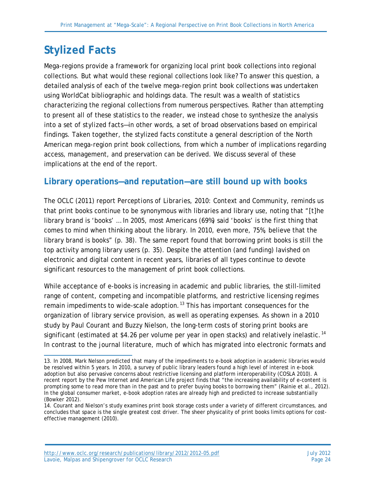## **Stylized Facts**

Mega-regions provide a framework for organizing local print book collections into regional collections. But what would these regional collections look like? To answer this question, a detailed analysis of each of the twelve mega-region print book collections was undertaken using WorldCat bibliographic and holdings data. The result was a wealth of statistics characterizing the regional collections from numerous perspectives. Rather than attempting to present all of these statistics to the reader, we instead chose to synthesize the analysis into a set of *stylized facts*—in other words, a set of broad observations based on empirical findings. Taken together, the stylized facts constitute a general description of the North American mega-region print book collections, from which a number of implications regarding access, management, and preservation can be derived. We discuss several of these implications at the end of the report.

#### **Library operations—and reputation—are still bound up with books**

The OCLC (2011) report *Perceptions of Libraries, 2010: Context and Community,* reminds us that print books continue to be synonymous with libraries and library use, noting that "[t]he library brand is 'books' … In 2005, most Americans (69%) said 'books' is the first thing that comes to mind when thinking about the library. In 2010, even more, 75%, believe that the library brand is books" (p. 38). The same report found that borrowing print books is still the top activity among library users (p. 35). Despite the attention (and funding) lavished on electronic and digital content in recent years, libraries of all types continue to devote significant resources to the management of print book collections.

While acceptance of e-books is increasing in academic and public libraries, the still-limited range of content, competing and incompatible platforms, and restrictive licensing regimes remain impediments to wide-scale adoption.<sup>[13](#page-23-0)</sup> This has important consequences for the organization of library service provision, as well as operating expenses. As shown in a 2010 study by Paul Courant and Buzzy Nielson, the long-term costs of storing print books are significant (estimated at \$4.26 per volume per year in open stacks) and relatively inelastic.<sup>[14](#page-23-1)</sup> In contrast to the journal literature, much of which has migrated into electronic formats and

<span id="page-23-0"></span> $\overline{a}$ 13. In 2008, Mark Nelson predicted that many of the impediments to e-book adoption in academic libraries would be resolved within 5 years. In 2010, a survey of public library leaders found a high level of interest in e-book adoption but also pervasive concerns about restrictive licensing and platform interoperability (COSLA 2010). A recent report by the Pew Internet and American Life project finds that "the increasing availability of e-content is prompting some to read more than in the past and to prefer buying books to borrowing them" (Rainie et al., 2012). In the global consumer market, e-book adoption rates are already high and predicted to increase substantially (Bowker 2012).

<span id="page-23-1"></span><sup>14.</sup> Courant and Nielson's study examines print book storage costs under a variety of different circumstances, and concludes that space is the single greatest cost driver. The sheer physicality of print books limits options for costeffective management (2010).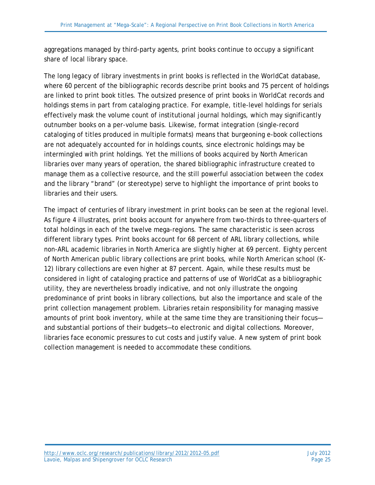aggregations managed by third-party agents, print books continue to occupy a significant share of local library space.

The long legacy of library investments in print books is reflected in the WorldCat database, where 60 percent of the bibliographic records describe print books and 75 percent of holdings are linked to print book titles. The outsized presence of print books in WorldCat records and holdings stems in part from cataloging practice. For example, title-level holdings for serials effectively mask the volume count of institutional journal holdings, which may significantly outnumber books on a per-volume basis. Likewise, format integration (single-record cataloging of titles produced in multiple formats) means that burgeoning e-book collections are not adequately accounted for in holdings counts, since electronic holdings may be intermingled with print holdings. Yet the millions of books acquired by North American libraries over many years of operation, the shared bibliographic infrastructure created to manage them as a collective resource, and the still powerful association between the codex and the library "brand" (or stereotype) serve to highlight the importance of print books to libraries and their users.

The impact of centuries of library investment in print books can be seen at the regional level. As figure 4 illustrates, print books account for anywhere from two-thirds to three-quarters of total holdings in each of the twelve mega-regions. The same characteristic is seen across different library types. Print books account for 68 percent of ARL library collections, while non-ARL academic libraries in North America are slightly higher at 69 percent. Eighty percent of North American public library collections are print books, while North American school (K-12) library collections are even higher at 87 percent. Again, while these results must be considered in light of cataloging practice and patterns of use of WorldCat as a bibliographic utility, they are nevertheless broadly indicative, and not only illustrate the ongoing predominance of print books in library collections, but also the importance and scale of the print collection management problem. Libraries retain responsibility for managing massive amounts of print book inventory, while at the same time they are transitioning their focus and substantial portions of their budgets—to electronic and digital collections. Moreover, libraries face economic pressures to cut costs and justify value. A new system of print book collection management is needed to accommodate these conditions.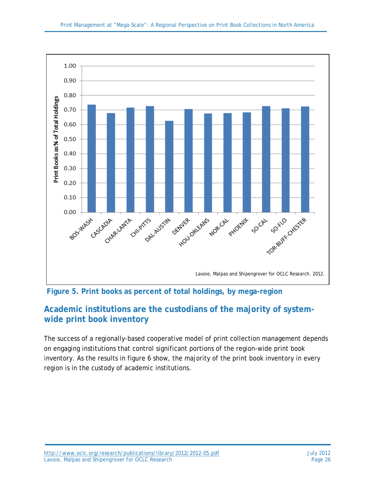



### **Academic institutions are the custodians of the majority of systemwide print book inventory**

The success of a regionally-based cooperative model of print collection management depends on engaging institutions that control significant portions of the region-wide print book inventory. As the results in figure 6 show, the majority of the print book inventory in every region is in the custody of academic institutions.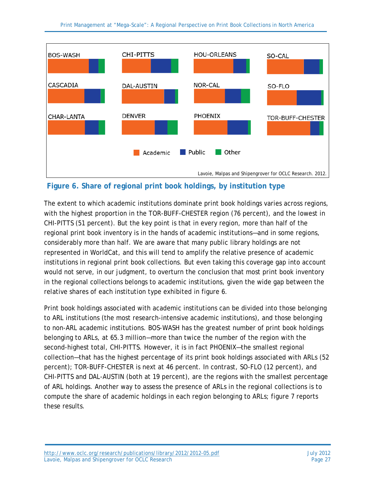

#### **Figure 6. Share of regional print book holdings, by institution type**

The extent to which academic institutions dominate print book holdings varies across regions, with the highest proportion in the TOR-BUFF-CHESTER region (76 percent), and the lowest in CHI-PITTS (51 percent). But the key point is that in every region, more than half of the regional print book inventory is in the hands of academic institutions—and in some regions, considerably more than half. We are aware that many public library holdings are not represented in WorldCat, and this will tend to amplify the relative presence of academic institutions in regional print book collections. But even taking this coverage gap into account would not serve, in our judgment, to overturn the conclusion that most print book inventory in the regional collections belongs to academic institutions, given the wide gap between the relative shares of each institution type exhibited in figure 6.

Print book holdings associated with academic institutions can be divided into those belonging to ARL institutions (the most research-intensive academic institutions), and those belonging to non-ARL academic institutions. BOS-WASH has the greatest number of print book holdings belonging to ARLs, at 65.3 million—more than twice the number of the region with the second-highest total, CHI-PITTS. However, it is in fact PHOENIX—the smallest regional collection—that has the highest percentage of its print book holdings associated with ARLs (52 percent); TOR-BUFF-CHESTER is next at 46 percent. In contrast, SO-FLO (12 percent), and CHI-PITTS and DAL-AUSTIN (both at 19 percent), are the regions with the smallest percentage of ARL holdings. Another way to assess the presence of ARLs in the regional collections is to compute the share of academic holdings in each region belonging to ARLs; figure 7 reports these results.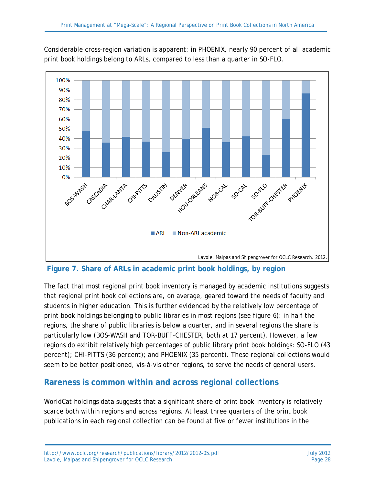Considerable cross-region variation is apparent: in PHOENIX, nearly 90 percent of all academic print book holdings belong to ARLs, compared to less than a quarter in SO-FLO.



**Figure 7. Share of ARLs in academic print book holdings, by region**

The fact that most regional print book inventory is managed by academic institutions suggests that regional print book collections are, on average, geared toward the needs of faculty and students in higher education. This is further evidenced by the relatively low percentage of print book holdings belonging to public libraries in most regions (see figure 6): in half the regions, the share of public libraries is below a quarter, and in several regions the share is particularly low (BOS-WASH and TOR-BUFF-CHESTER, both at 17 percent). However, a few regions do exhibit relatively high percentages of public library print book holdings: SO-FLO (43 percent); CHI-PITTS (36 percent); and PHOENIX (35 percent). These regional collections would seem to be better positioned, vis-à-vis other regions, to serve the needs of general users.

#### **Rareness is common within and across regional collections**

WorldCat holdings data suggests that a significant share of print book inventory is relatively scarce both within regions and across regions. At least three quarters of the print book publications in each regional collection can be found at five or fewer institutions in the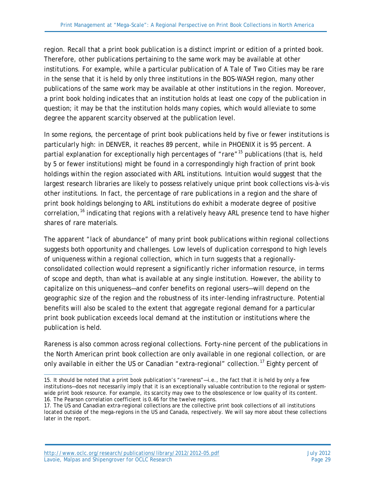region. Recall that a print book publication is a distinct imprint or edition of a printed book. Therefore, other publications pertaining to the same work may be available at other institutions. For example, while a particular publication of *A Tale of Two Cities* may be rare in the sense that it is held by only three institutions in the BOS-WASH region, many other publications of the same work may be available at other institutions in the region. Moreover, a print book holding indicates that an institution holds at least one copy of the publication in question; it may be that the institution holds many copies, which would alleviate to some degree the apparent scarcity observed at the publication level.

In some regions, the percentage of print book publications held by five or fewer institutions is particularly high: in DENVER, it reaches 89 percent, while in PHOENIX it is 95 percent. A partial explanation for exceptionally high percentages of "rare"<sup>[15](#page-28-0)</sup> publications (that is, held by 5 or fewer institutions) might be found in a correspondingly high fraction of print book holdings within the region associated with ARL institutions. Intuition would suggest that the largest research libraries are likely to possess relatively unique print book collections vis-à-vis other institutions. In fact, the percentage of rare publications in a region and the share of print book holdings belonging to ARL institutions do exhibit a moderate degree of positive correlation,<sup>[16](#page-28-1)</sup> indicating that regions with a relatively heavy ARL presence tend to have higher shares of rare materials.

The apparent "lack of abundance" of many print book publications within regional collections suggests both opportunity and challenges. Low levels of duplication correspond to high levels of uniqueness within a regional collection, which in turn suggests that a regionallyconsolidated collection would represent a significantly richer information resource, in terms of scope and depth, than what is available at any single institution. However, the ability to capitalize on this uniqueness—and confer benefits on regional users—will depend on the geographic size of the region and the robustness of its inter-lending infrastructure. Potential benefits will also be scaled to the extent that aggregate regional demand for a particular print book publication exceeds local demand at the institution or institutions where the publication is held.

Rareness is also common *across* regional collections. Forty-nine percent of the publications in the North American print book collection are only available in one regional collection, or are only available in either the US or Canadian "extra-regional" collection.<sup>[17](#page-28-2)</sup> Eighty percent of

<span id="page-28-0"></span> $\overline{a}$ 15. It should be noted that a print book publication's "rareness"—i.e., the fact that it is held by only a few institutions—does not necessarily imply that it is an exceptionally valuable contribution to the regional or systemwide print book resource. For example, its scarcity may owe to the obsolescence or low quality of its content. 16. The Pearson correlation coefficient is 0.46 for the twelve regions.

<span id="page-28-2"></span><span id="page-28-1"></span><sup>17.</sup> The US and Canadian extra-regional collections are the collective print book collections of all institutions located outside of the mega-regions in the US and Canada, respectively. We will say more about these collections later in the report.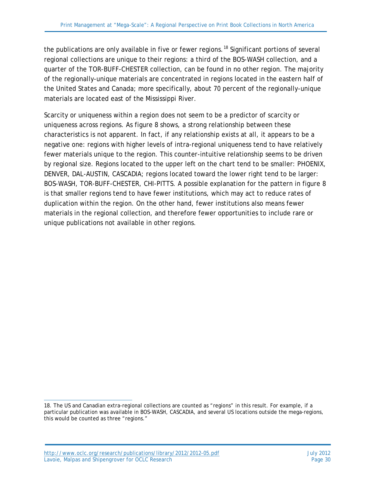the publications are only available in five or fewer regions.<sup>[18](#page-29-0)</sup> Significant portions of several regional collections are unique to their regions: a third of the BOS-WASH collection, and a quarter of the TOR-BUFF-CHESTER collection, can be found in no other region. The majority of the regionally-unique materials are concentrated in regions located in the eastern half of the United States and Canada; more specifically, about 70 percent of the regionally-unique materials are located east of the Mississippi River.

Scarcity or uniqueness within a region does not seem to be a predictor of scarcity or uniqueness across regions. As figure 8 shows, a strong relationship between these characteristics is not apparent. In fact, if any relationship exists at all, it appears to be a negative one: regions with higher levels of intra-regional uniqueness tend to have relatively fewer materials unique to the region. This counter-intuitive relationship seems to be driven by regional size. Regions located to the upper left on the chart tend to be smaller: PHOENIX, DENVER, DAL-AUSTIN, CASCADIA; regions located toward the lower right tend to be larger: BOS-WASH, TOR-BUFF-CHESTER, CHI-PITTS. A possible explanation for the pattern in figure 8 is that smaller regions tend to have fewer institutions, which may act to reduce rates of duplication within the region. On the other hand, fewer institutions also means fewer materials in the regional collection, and therefore fewer opportunities to include rare or unique publications not available in other regions.

<span id="page-29-0"></span> $\overline{a}$ 18. The US and Canadian extra-regional collections are counted as "regions" in this result. For example, if a particular publication was available in BOS-WASH, CASCADIA, and several US locations outside the mega-regions, this would be counted as three "regions."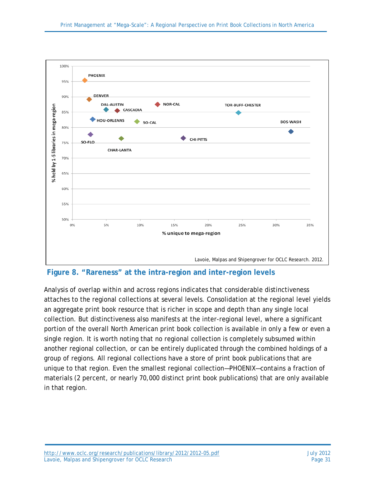

**Figure 8. "Rareness" at the intra-region and inter-region levels**

Analysis of overlap within and across regions indicates that considerable distinctiveness attaches to the regional collections at several levels. Consolidation at the regional level yields an aggregate print book resource that is richer in scope and depth than any single local collection. But distinctiveness also manifests at the inter-regional level, where a significant portion of the overall North American print book collection is available in only a few or even a single region. It is worth noting that no regional collection is completely subsumed within another regional collection, or can be entirely duplicated through the combined holdings of a group of regions. All regional collections have a store of print book publications that are unique to that region. Even the smallest regional collection—PHOENIX—contains a fraction of materials (2 percent, or nearly 70,000 distinct print book publications) that are only available in that region.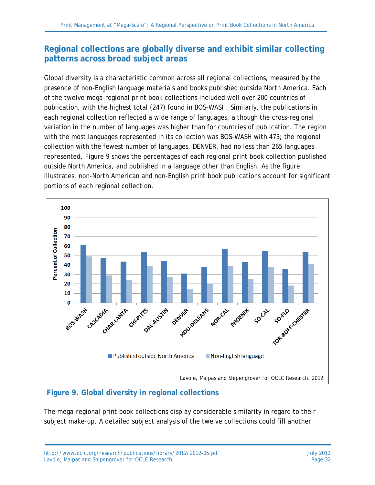#### **Regional collections are globally diverse and exhibit similar collecting patterns across broad subject areas**

Global diversity is a characteristic common across all regional collections, measured by the presence of non-English language materials and books published outside North America. Each of the twelve mega-regional print book collections included well over 200 countries of publication, with the highest total (247) found in BOS-WASH. Similarly, the publications in each regional collection reflected a wide range of languages, although the cross-regional variation in the number of languages was higher than for countries of publication. The region with the most languages represented in its collection was BOS-WASH with 473; the regional collection with the fewest number of languages, DENVER, had no less than 265 languages represented. Figure 9 shows the percentages of each regional print book collection published outside North America, and published in a language other than English. As the figure illustrates, non-North American and non-English print book publications account for significant portions of each regional collection.



**Figure 9. Global diversity in regional collections**

The mega-regional print book collections display considerable similarity in regard to their subject make-up. A detailed subject analysis of the twelve collections could fill another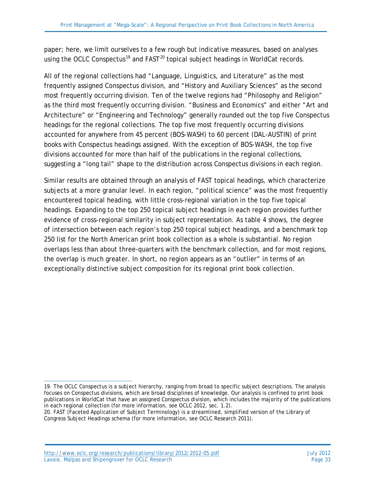paper; here, we limit ourselves to a few rough but indicative measures, based on analyses using the OCLC Conspectus<sup>[19](#page-32-0)</sup> and  $FAST^{20}$  $FAST^{20}$  $FAST^{20}$  topical subject headings in WorldCat records.

All of the regional collections had "Language, Linguistics, and Literature" as the most frequently assigned Conspectus division, and "History and Auxiliary Sciences" as the second most frequently occurring division. Ten of the twelve regions had "Philosophy and Religion" as the third most frequently occurring division. "Business and Economics" and either "Art and Architecture" or "Engineering and Technology" generally rounded out the top five Conspectus headings for the regional collections. The top five most frequently occurring divisions accounted for anywhere from 45 percent (BOS-WASH) to 60 percent (DAL-AUSTIN) of print books with Conspectus headings assigned. With the exception of BOS-WASH, the top five divisions accounted for more than half of the publications in the regional collections, suggesting a "long tail" shape to the distribution across Conspectus divisions in each region.

Similar results are obtained through an analysis of FAST topical headings, which characterize subjects at a more granular level. In each region, "political science" was the most frequently encountered topical heading, with little cross-regional variation in the top five topical headings. Expanding to the top 250 topical subject headings in each region provides further evidence of cross-regional similarity in subject representation. As table 4 shows, the degree of intersection between each region's top 250 topical subject headings, and a benchmark top 250 list for the North American print book collection as a whole is substantial. No region overlaps less than about three-quarters with the benchmark collection, and for most regions, the overlap is much greater. In short, no region appears as an "outlier" in terms of an exceptionally distinctive subject composition for its regional print book collection.

<span id="page-32-0"></span> $\overline{a}$ 19. The OCLC Conspectus is a subject hierarchy, ranging from broad to specific subject descriptions. The analysis focuses on Conspectus divisions, which are broad disciplines of knowledge. Our analysis is confined to print book publications in WorldCat that have an assigned Conspectus division, which includes the majority of the publications in each regional collection (for more information, see OCLC 2012, sec. 1.2).

<span id="page-32-1"></span><sup>20.</sup> FAST (Faceted Application of Subject Terminology) is a streamlined, simplified version of the Library of Congress Subject Headings schema (for more information, see OCLC Research 2011).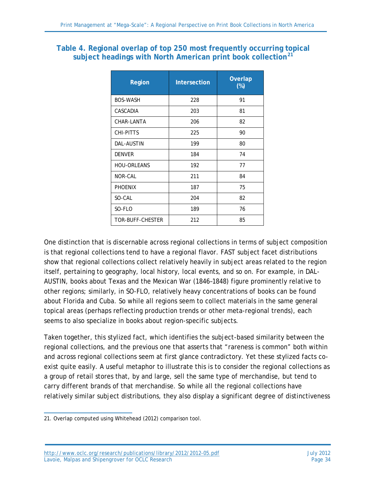#### **Table 4. Regional overlap of top 250 most frequently occurring topical subject headings with North American print book collection[21](#page-33-0)**

| Region             | <b>Intersection</b> | <b>Overlap</b><br>$(\%)$ |
|--------------------|---------------------|--------------------------|
| <b>BOS-WASH</b>    | 228                 | 91                       |
| CASCADIA           | 203                 | 81                       |
| CHAR-LANTA         | 206                 | 82                       |
| CHI-PITTS          | 225                 | 90                       |
| <b>DAL-AUSTIN</b>  | 199                 | 80                       |
| <b>DENVER</b>      | 184                 | 74                       |
| <b>HOU-ORLEANS</b> | 192                 | 77                       |
| <b>NOR-CAL</b>     | 211                 | 84                       |
| <b>PHOENIX</b>     | 187                 | 75                       |
| SO-CAL             | 204                 | 82                       |
| SO-FLO             | 189                 | 76                       |
| TOR-BUFF-CHESTER   | 212                 | 85                       |

One distinction that is discernable across regional collections in terms of subject composition is that regional collections tend to have a regional flavor. FAST subject facet distributions show that regional collections collect relatively heavily in subject areas related to the region itself, pertaining to geography, local history, local events, and so on. For example, in DAL-AUSTIN, books about Texas and the Mexican War (1846–1848) figure prominently relative to other regions; similarly, in SO-FLO, relatively heavy concentrations of books can be found about Florida and Cuba. So while all regions seem to collect materials in the same general topical areas (perhaps reflecting production trends or other meta-regional trends), each seems to also specialize in books about region-specific subjects.

Taken together, this stylized fact, which identifies the subject-based similarity between the regional collections, and the previous one that asserts that "rareness is common" both within and across regional collections seem at first glance contradictory. Yet these stylized facts coexist quite easily. A useful metaphor to illustrate this is to consider the regional collections as a group of retail stores that, by and large, sell the same type of merchandise, but tend to carry different brands of that merchandise. So while all the regional collections have relatively similar subject distributions, they also display a significant degree of distinctiveness

<http://www.oclc.org/research/publications/library/2012/2012-05.pdf> July 2012 Lavoie, Malpas and Shipengrover for OCLC Research **Page 34** Page 34

<span id="page-33-0"></span> $\overline{a}$ 21. Overlap computed using Whitehead (2012) comparison tool.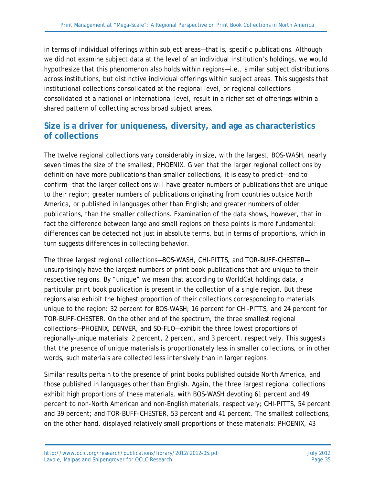in terms of individual offerings within subject areas—that is, specific publications. Although we did not examine subject data at the level of an individual institution's holdings, we would hypothesize that this phenomenon also holds within regions—i.e., similar subject distributions across institutions, but distinctive individual offerings within subject areas. This suggests that institutional collections consolidated at the regional level, or regional collections consolidated at a national or international level, result in a richer set of offerings within a shared pattern of collecting across broad subject areas.

### **Size is a driver for uniqueness, diversity, and age as characteristics of collections**

The twelve regional collections vary considerably in size, with the largest, BOS-WASH, nearly seven times the size of the smallest, PHOENIX. Given that the larger regional collections by definition have more publications than smaller collections, it is easy to predict—and to confirm—that the larger collections will have greater numbers of publications that are unique to their region; greater numbers of publications originating from countries outside North America, or published in languages other than English; and greater numbers of older publications, than the smaller collections. Examination of the data shows, however, that in fact the difference between large and small regions on these points is more fundamental: differences can be detected not just in absolute terms, but in terms of proportions, which in turn suggests differences in collecting behavior.

The three largest regional collections—BOS-WASH, CHI-PITTS, and TOR-BUFF-CHESTER unsurprisingly have the largest numbers of print book publications that are unique to their respective regions. By "unique" we mean that according to WorldCat holdings data, a particular print book publication is present in the collection of a single region. But these regions also exhibit the highest proportion of their collections corresponding to materials unique to the region: 32 percent for BOS-WASH; 16 percent for CHI-PITTS, and 24 percent for TOR-BUFF-CHESTER. On the other end of the spectrum, the three smallest regional collections—PHOENIX, DENVER, and SO-FLO—exhibit the three lowest proportions of regionally-unique materials: 2 percent, 2 percent, and 3 percent, respectively. This suggests that the presence of unique materials is proportionately less in smaller collections, or in other words, such materials are collected less intensively than in larger regions.

Similar results pertain to the presence of print books published outside North America, and those published in languages other than English. Again, the three largest regional collections exhibit high proportions of these materials, with BOS-WASH devoting 61 percent and 49 percent to non-North American and non-English materials, respectively; CHI-PITTS, 54 percent and 39 percent; and TOR-BUFF-CHESTER, 53 percent and 41 percent. The smallest collections, on the other hand, displayed relatively small proportions of these materials: PHOENIX, 43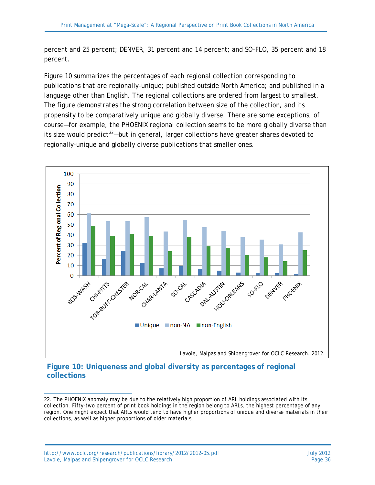percent and 25 percent; DENVER, 31 percent and 14 percent; and SO-FLO, 35 percent and 18 percent.

Figure 10 summarizes the percentages of each regional collection corresponding to publications that are regionally-unique; published outside North America; and published in a language other than English. The regional collections are ordered from largest to smallest. The figure demonstrates the strong correlation between size of the collection, and its propensity to be comparatively unique and globally diverse. There are some exceptions, of course—for example, the PHOENIX regional collection seems to be more globally diverse than its size would predict<sup>[22](#page-35-0)</sup>—but in general, larger collections have greater shares devoted to regionally-unique and globally diverse publications that smaller ones.



#### **Figure 10: Uniqueness and global diversity as percentages of regional collections**

 $\overline{a}$ 

<span id="page-35-0"></span><sup>22.</sup> The PHOENIX anomaly may be due to the relatively high proportion of ARL holdings associated with its collection. Fifty-two percent of print book holdings in the region belong to ARLs, the highest percentage of any region. One might expect that ARLs would tend to have higher proportions of unique and diverse materials in their collections, as well as higher proportions of older materials.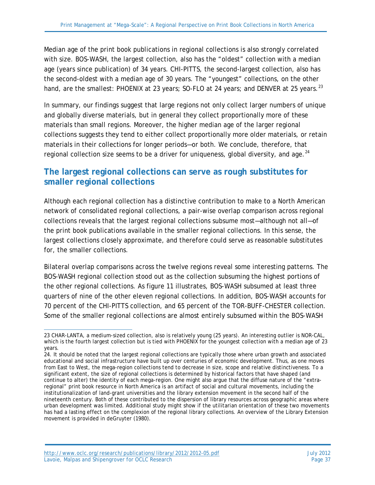Median age of the print book publications in regional collections is also strongly correlated with size. BOS-WASH, the largest collection, also has the "oldest" collection with a median age (years since publication) of 34 years. CHI-PITTS, the second-largest collection, also has the second-oldest with a median age of 30 years. The "youngest" collections, on the other hand, are the smallest: PHOENIX at [23](#page-36-0) years; SO-FLO at 24 years; and DENVER at 25 years.<sup>23</sup>

In summary, our findings suggest that large regions not only collect larger numbers of unique and globally diverse materials, but in general they collect proportionally more of these materials than small regions. Moreover, the higher median age of the larger regional collections suggests they tend to either collect proportionally more older materials, or retain materials in their collections for longer periods—or both. We conclude, therefore, that regional collection size seems to be a driver for uniqueness, global diversity, and age. $^{24}$  $^{24}$  $^{24}$ 

#### **The largest regional collections can serve as rough substitutes for smaller regional collections**

Although each regional collection has a distinctive contribution to make to a North American network of consolidated regional collections, a pair-wise overlap comparison across regional collections reveals that the largest regional collections subsume most—although not all—of the print book publications available in the smaller regional collections. In this sense, the largest collections closely approximate, and therefore could serve as reasonable substitutes for, the smaller collections.

Bilateral overlap comparisons across the twelve regions reveal some interesting patterns. The BOS-WASH regional collection stood out as the collection subsuming the highest portions of the other regional collections. As figure 11 illustrates, BOS-WASH subsumed at least three quarters of nine of the other eleven regional collections. In addition, BOS-WASH accounts for 70 percent of the CHI-PITTS collection, and 65 percent of the TOR-BUFF-CHESTER collection. Some of the smaller regional collections are almost entirely subsumed within the BOS-WASH

<span id="page-36-0"></span> $\overline{a}$ 23 CHAR-LANTA, a medium-sized collection, also is relatively young (25 years). An interesting outlier is NOR-CAL, which is the fourth largest collection but is tied with PHOENIX for the youngest collection with a median age of 23 years.

<span id="page-36-1"></span><sup>24.</sup> It should be noted that the largest regional collections are typically those where urban growth and associated educational and social infrastructure have built up over centuries of economic development. Thus, as one moves from East to West, the mega-region collections tend to decrease in size, scope and relative distinctiveness. To a significant extent, the size of regional collections is determined by historical factors that have shaped (and continue to alter) the identity of each mega-region. One might also argue that the diffuse nature of the "extraregional" print book resource in North America is an artifact of social and cultural movements, including the institutionalization of land-grant universities and the library extension movement in the second half of the nineteenth century. Both of these contributed to the dispersion of library resources across geographic areas where urban development was limited. Additional study might show if the utilitarian orientation of these two movements has had a lasting effect on the complexion of the regional library collections. An overview of the Library Extension movement is provided in deGruyter (1980).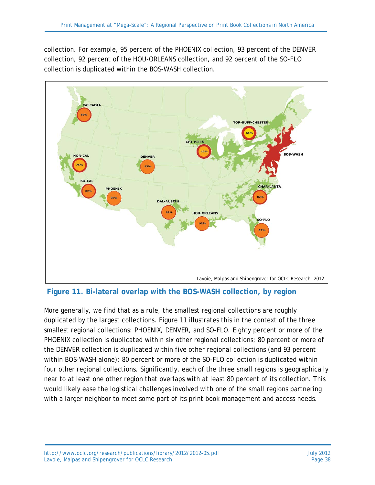collection. For example, 95 percent of the PHOENIX collection, 93 percent of the DENVER collection, 92 percent of the HOU-ORLEANS collection, and 92 percent of the SO-FLO collection is duplicated within the BOS-WASH collection.



**Figure 11. Bi-lateral overlap with the BOS-WASH collection, by region**

More generally, we find that as a rule, the smallest regional collections are roughly duplicated by the largest collections. Figure 11 illustrates this in the context of the three smallest regional collections: PHOENIX, DENVER, and SO-FLO. Eighty percent or more of the PHOENIX collection is duplicated within six other regional collections; 80 percent or more of the DENVER collection is duplicated within five other regional collections (and 93 percent within BOS-WASH alone); 80 percent or more of the SO-FLO collection is duplicated within four other regional collections. Significantly, each of the three small regions is geographically near to at least one other region that overlaps with at least 80 percent of its collection. This would likely ease the logistical challenges involved with one of the small regions partnering with a larger neighbor to meet some part of its print book management and access needs.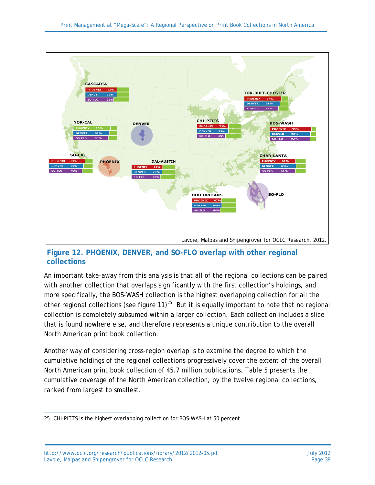

#### **Figure 12. PHOENIX, DENVER, and SO-FLO overlap with other regional collections**

An important take-away from this analysis is that all of the regional collections can be paired with another collection that overlaps significantly with the first collection's holdings, and more specifically, the BOS-WASH collection is the highest overlapping collection for all the other regional collections (see figure 11)<sup>[25](#page-38-0)</sup>. But it is equally important to note that no regional collection is completely subsumed within a larger collection. Each collection includes a slice that is found nowhere else, and therefore represents a unique contribution to the overall North American print book collection.

Another way of considering cross-region overlap is to examine the degree to which the cumulative holdings of the regional collections progressively cover the extent of the overall North American print book collection of 45.7 million publications. Table 5 presents the cumulative coverage of the North American collection, by the twelve regional collections, ranked from largest to smallest.

<span id="page-38-0"></span> $\overline{a}$ 25. CHI-PITTS is the highest overlapping collection for BOS-WASH at 50 percent.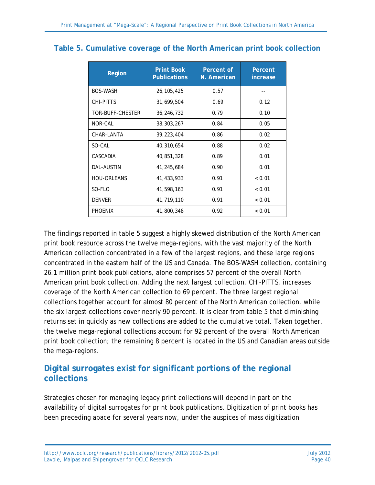| <b>Region</b>      | <b>Print Book</b><br><b>Publications</b> | Percent of<br>N. American | Percent<br>increase |
|--------------------|------------------------------------------|---------------------------|---------------------|
| <b>BOS-WASH</b>    | 26, 105, 425                             | 0.57                      |                     |
| CHI-PITTS          | 31,699,504                               | 0.69                      | 0.12                |
| TOR-BUFF-CHESTER   | 36,246,732                               | 0.79                      | 0.10                |
| NOR-CAL            | 38, 303, 267                             | 0.84                      | 0.05                |
| CHAR-LANTA         | 39, 223, 404                             | 0.86                      | 0.02                |
| SO-CAL             | 40,310,654                               | 0.88                      | 0.02                |
| CASCADIA           | 40,851,328                               | 0.89                      | 0.01                |
| DAL-AUSTIN         | 41,245,684                               | 0.90                      | 0.01                |
| <b>HOU-ORLEANS</b> | 41,433,933                               | 0.91                      | < 0.01              |
| SO-FLO             | 41,598,163                               | 0.91                      | < 0.01              |
| <b>DENVER</b>      | 41,719,110                               | 0.91                      | < 0.01              |
| <b>PHOENIX</b>     | 41,800,348                               | 0.92                      | < 0.01              |

#### **Table 5. Cumulative coverage of the North American print book collection**

The findings reported in table 5 suggest a highly skewed distribution of the North American print book resource across the twelve mega-regions, with the vast majority of the North American collection concentrated in a few of the largest regions, and these large regions concentrated in the eastern half of the US and Canada. The BOS-WASH collection, containing 26.1 million print book publications, alone comprises 57 percent of the overall North American print book collection. Adding the next largest collection, CHI-PITTS, increases coverage of the North American collection to 69 percent. The three largest regional collections together account for almost 80 percent of the North American collection, while the six largest collections cover nearly 90 percent. It is clear from table 5 that diminishing returns set in quickly as new collections are added to the cumulative total. Taken together, the twelve mega-regional collections account for 92 percent of the overall North American print book collection; the remaining 8 percent is located in the US and Canadian areas outside the mega-regions.

### **Digital surrogates exist for significant portions of the regional collections**

Strategies chosen for managing legacy print collections will depend in part on the availability of digital surrogates for print book publications. Digitization of print books has been preceding apace for several years now, under the auspices of mass digitization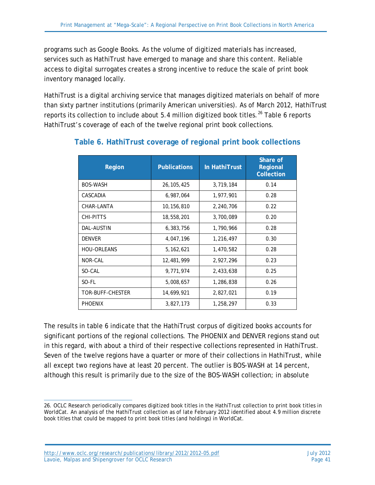programs such as Google Books. As the volume of digitized materials has increased, services such as HathiTrust have emerged to manage and share this content. Reliable access to digital surrogates creates a strong incentive to reduce the scale of print book inventory managed locally.

HathiTrust is a digital archiving service that manages digitized materials on behalf of more than sixty partner institutions (primarily American universities). As of March 2012, HathiTrust reports its collection to include about 5.4 million digitized book titles.<sup>[26](#page-40-0)</sup> Table 6 reports HathiTrust's coverage of each of the twelve regional print book collections.

| <b>Region</b>      | <b>Publications</b> | In HathiTrust | Share of<br>Regional<br><b>Collection</b> |
|--------------------|---------------------|---------------|-------------------------------------------|
| <b>BOS-WASH</b>    | 26, 105, 425        | 3,719,184     | 0.14                                      |
| CASCADIA           | 6,987,064           | 1,977,901     | 0.28                                      |
| CHAR-LANTA         | 10,156,810          | 2,240,706     | 0.22                                      |
| CHI-PITTS          | 18,558,201          | 3,700,089     | 0.20                                      |
| DAL-AUSTIN         | 6,383,756           | 1,790,966     | 0.28                                      |
| <b>DENVER</b>      | 4,047,196           | 1,216,497     | 0.30                                      |
| <b>HOU-ORLEANS</b> | 5, 162, 621         | 1,470,582     | 0.28                                      |
| NOR-CAL            | 12,481,999          | 2,927,296     | 0.23                                      |
| SO-CAL             | 9,771,974           | 2,433,638     | 0.25                                      |
| SO-FL              | 5,008,657           | 1,286,838     | 0.26                                      |
| TOR-BUFF-CHESTER   | 14,699,921          | 2,827,021     | 0.19                                      |
| <b>PHOENIX</b>     | 3,827,173           | 1,258,297     | 0.33                                      |

#### **Table 6. HathiTrust coverage of regional print book collections**

The results in table 6 indicate that the HathiTrust corpus of digitized books accounts for significant portions of the regional collections. The PHOENIX and DENVER regions stand out in this regard, with about a third of their respective collections represented in HathiTrust. Seven of the twelve regions have a quarter or more of their collections in HathiTrust, while all except two regions have at least 20 percent. The outlier is BOS-WASH at 14 percent, although this result is primarily due to the size of the BOS-WASH collection; in absolute

<span id="page-40-0"></span> $\overline{a}$ 26. OCLC Research periodically compares digitized book titles in the HathiTrust collection to print book titles in WorldCat. An analysis of the HathiTrust collection as of late February 2012 identified about 4.9 million discrete book titles that could be mapped to print book titles (and holdings) in WorldCat.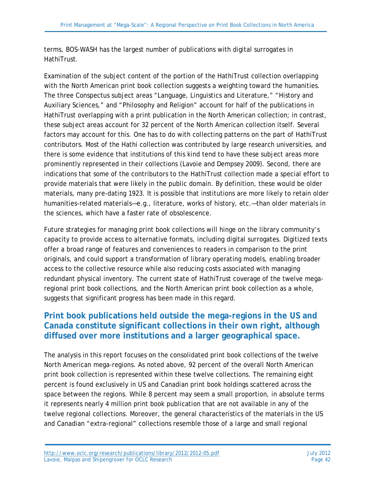terms, BOS-WASH has the largest number of publications with digital surrogates in HathiTrust.

Examination of the subject content of the portion of the HathiTrust collection overlapping with the North American print book collection suggests a weighting toward the humanities. The three Conspectus subject areas "Language, Linguistics and Literature," "History and Auxiliary Sciences," and "Philosophy and Religion" account for half of the publications in HathiTrust overlapping with a print publication in the North American collection; in contrast, these subject areas account for 32 percent of the North American collection itself. Several factors may account for this. One has to do with collecting patterns on the part of HathiTrust contributors. Most of the Hathi collection was contributed by large research universities, and there is some evidence that institutions of this kind tend to have these subject areas more prominently represented in their collections (Lavoie and Dempsey 2009). Second, there are indications that some of the contributors to the HathiTrust collection made a special effort to provide materials that were likely in the public domain. By definition, these would be older materials, many pre-dating 1923. It is possible that institutions are more likely to retain older humanities-related materials—e.g., literature, works of history, etc.—than older materials in the sciences, which have a faster rate of obsolescence.

Future strategies for managing print book collections will hinge on the library community's capacity to provide access to alternative formats, including digital surrogates. Digitized texts offer a broad range of features and conveniences to readers in comparison to the print originals, and could support a transformation of library operating models, enabling broader access to the collective resource while also reducing costs associated with managing redundant physical inventory. The current state of HathiTrust coverage of the twelve megaregional print book collections, and the North American print book collection as a whole, suggests that significant progress has been made in this regard.

#### **Print book publications held outside the mega-regions in the US and Canada constitute significant collections in their own right, although diffused over more institutions and a larger geographical space.**

The analysis in this report focuses on the consolidated print book collections of the twelve North American mega-regions. As noted above, 92 percent of the overall North American print book collection is represented within these twelve collections. The remaining eight percent is found exclusively in US and Canadian print book holdings scattered across the space between the regions. While 8 percent may seem a small proportion, in absolute terms it represents nearly 4 million print book publication that are not available in any of the twelve regional collections. Moreover, the general characteristics of the materials in the US and Canadian "extra-regional" collections resemble those of a large and small regional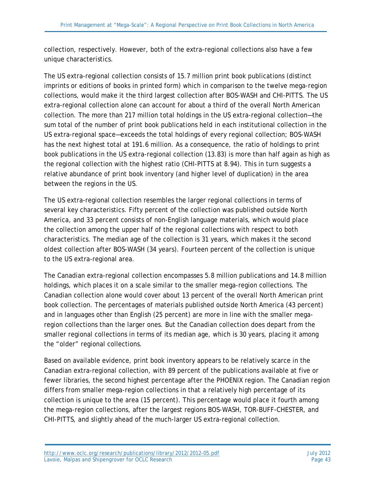collection, respectively. However, both of the extra-regional collections also have a few unique characteristics.

The US extra-regional collection consists of 15.7 million print book publications (distinct imprints or editions of books in printed form) which in comparison to the twelve mega-region collections, would make it the third largest collection after BOS-WASH and CHI-PITTS. The US extra-regional collection alone can account for about a third of the overall North American collection. The more than 217 million total holdings in the US extra-regional collection—the sum total of the number of print book publications held in each institutional collection in the US extra-regional space—exceeds the total holdings of every regional collection; BOS-WASH has the next highest total at 191.6 million. As a consequence, the ratio of holdings to print book publications in the US extra-regional collection (13.83) is more than half again as high as the regional collection with the highest ratio (CHI-PITTS at 8.94). This in turn suggests a relative abundance of print book inventory (and higher level of duplication) in the area between the regions in the US.

The US extra-regional collection resembles the larger regional collections in terms of several key characteristics. Fifty percent of the collection was published outside North America, and 33 percent consists of non-English language materials, which would place the collection among the upper half of the regional collections with respect to both characteristics. The median age of the collection is 31 years, which makes it the second oldest collection after BOS-WASH (34 years). Fourteen percent of the collection is unique to the US extra-regional area.

The Canadian extra-regional collection encompasses 5.8 million publications and 14.8 million holdings, which places it on a scale similar to the smaller mega-region collections. The Canadian collection alone would cover about 13 percent of the overall North American print book collection. The percentages of materials published outside North America (43 percent) and in languages other than English (25 percent) are more in line with the smaller megaregion collections than the larger ones. But the Canadian collection does depart from the smaller regional collections in terms of its median age, which is 30 years, placing it among the "older" regional collections.

Based on available evidence, print book inventory appears to be relatively scarce in the Canadian extra-regional collection, with 89 percent of the publications available at five or fewer libraries, the second highest percentage after the PHOENIX region. The Canadian region differs from smaller mega-region collections in that a relatively high percentage of its collection is unique to the area (15 percent). This percentage would place it fourth among the mega-region collections, after the largest regions BOS-WASH, TOR-BUFF-CHESTER, and CHI-PITTS, and slightly ahead of the much-larger US extra-regional collection.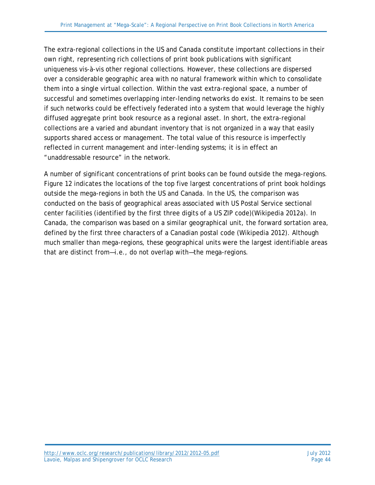The extra-regional collections in the US and Canada constitute important collections in their own right, representing rich collections of print book publications with significant uniqueness vis-à-vis other regional collections. However, these collections are dispersed over a considerable geographic area with no natural framework within which to consolidate them into a single virtual collection. Within the vast extra-regional space, a number of successful and sometimes overlapping inter-lending networks do exist. It remains to be seen if such networks could be effectively federated into a system that would leverage the highly diffused aggregate print book resource as a regional asset. In short, the extra-regional collections are a varied and abundant inventory that is not organized in a way that easily supports shared access or management. The total value of this resource is imperfectly reflected in current management and inter-lending systems; it is in effect an "unaddressable resource" in the network.

A number of significant concentrations of print books can be found outside the mega-regions. Figure 12 indicates the locations of the top five largest concentrations of print book holdings outside the mega-regions in both the US and Canada. In the US, the comparison was conducted on the basis of geographical areas associated with US Postal Service sectional center facilities (identified by the first three digits of a US ZIP code)(Wikipedia 2012a). In Canada, the comparison was based on a similar geographical unit, the forward sortation area, defined by the first three characters of a Canadian postal code (Wikipedia 2012). Although much smaller than mega-regions, these geographical units were the largest identifiable areas that are distinct from—i.e., do not overlap with—the mega-regions.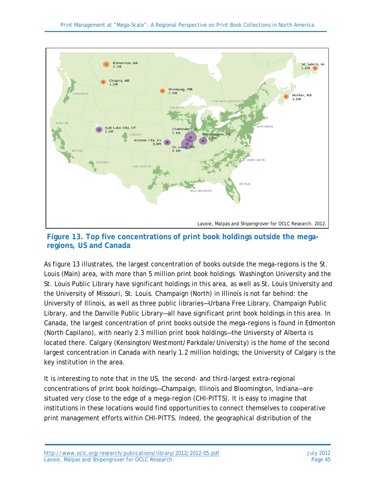

#### **Figure 13. Top five concentrations of print book holdings outside the megaregions, US and Canada**

As figure 13 illustrates, the largest concentration of books outside the mega-regions is the St. Louis (Main) area, with more than 5 million print book holdings. Washington University and the St. Louis Public Library have significant holdings in this area, as well as St. Louis University and the University of Missouri, St. Louis. Champaign (North) in Illinois is not far behind: the University of Illinois, as well as three public libraries—Urbana Free Library, Champaign Public Library, and the Danville Public Library—all have significant print book holdings in this area. In Canada, the largest concentration of print books outside the mega-regions is found in Edmonton (North Capilano), with nearly 2.3 million print book holdings—the University of Alberta is located there. Calgary (Kensington/Westmont/Parkdale/University) is the home of the second largest concentration in Canada with nearly 1.2 million holdings; the University of Calgary is the key institution in the area.

It is interesting to note that in the US, the second- and third-largest extra-regional concentrations of print book holdings—Champaign, Illinois and Bloomington, Indiana—are situated very close to the edge of a mega-region (CHI-PITTS). It is easy to imagine that institutions in these locations would find opportunities to connect themselves to cooperative print management efforts within CHI-PITTS. Indeed, the geographical distribution of the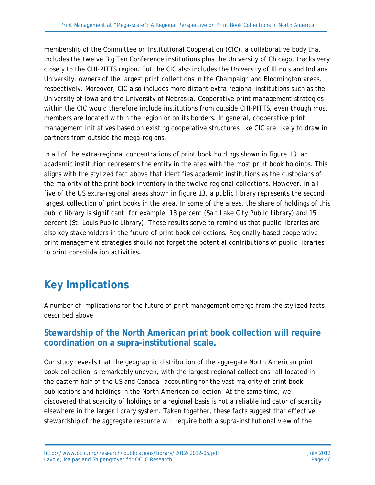membership of the Committee on Institutional Cooperation (CIC), a collaborative body that includes the twelve Big Ten Conference institutions plus the University of Chicago, tracks very closely to the CHI-PITTS region. But the CIC also includes the University of Illinois and Indiana University, owners of the largest print collections in the Champaign and Bloomington areas, respectively. Moreover, CIC also includes more distant extra-regional institutions such as the University of Iowa and the University of Nebraska. Cooperative print management strategies within the CIC would therefore include institutions from outside CHI-PITTS, even though most members are located within the region or on its borders. In general, cooperative print management initiatives based on existing cooperative structures like CIC are likely to draw in partners from outside the mega-regions.

In all of the extra-regional concentrations of print book holdings shown in figure 13, an academic institution represents the entity in the area with the most print book holdings. This aligns with the stylized fact above that identifies academic institutions as the custodians of the majority of the print book inventory in the twelve regional collections. However, in all five of the US extra-regional areas shown in figure 13, a public library represents the second largest collection of print books in the area. In some of the areas, the share of holdings of this public library is significant: for example, 18 percent (Salt Lake City Public Library) and 15 percent (St. Louis Public Library). These results serve to remind us that public libraries are also key stakeholders in the future of print book collections. Regionally-based cooperative print management strategies should not forget the potential contributions of public libraries to print consolidation activities.

# **Key Implications**

A number of implications for the future of print management emerge from the stylized facts described above.

#### **Stewardship of the North American print book collection will require coordination on a supra-institutional scale.**

Our study reveals that the geographic distribution of the aggregate North American print book collection is remarkably uneven, with the largest regional collections—all located in the eastern half of the US and Canada—accounting for the vast majority of print book publications and holdings in the North American collection. At the same time, we discovered that scarcity of holdings on a regional basis is not a reliable indicator of scarcity elsewhere in the larger library system. Taken together, these facts suggest that effective stewardship of the aggregate resource will require both a supra-institutional view of the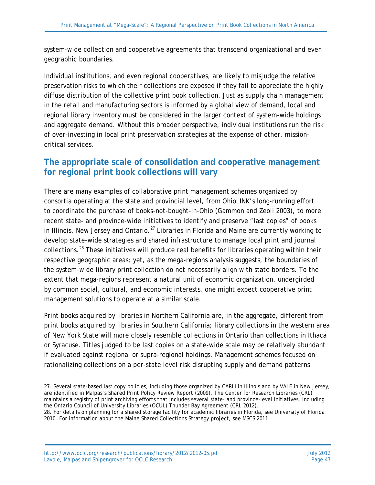system-wide collection and cooperative agreements that transcend organizational and even geographic boundaries.

Individual institutions, and even regional cooperatives, are likely to misjudge the relative preservation risks to which their collections are exposed if they fail to appreciate the highly diffuse distribution of the collective print book collection. Just as supply chain management in the retail and manufacturing sectors is informed by a global view of demand, local and regional library inventory must be considered in the larger context of system-wide holdings and aggregate demand. Without this broader perspective, individual institutions run the risk of over-investing in local print preservation strategies at the expense of other, missioncritical services.

### **The appropriate scale of consolidation and cooperative management for regional print book collections will vary**

There are many examples of collaborative print management schemes organized by consortia operating at the state and provincial level, from OhioLINK's long-running effort to coordinate the purchase of books-not-bought-in-Ohio (Gammon and Zeoli 2003), to more recent state- and province-wide initiatives to identify and preserve "last copies" of books in Illinois, New Jersey and Ontario.<sup>[27](#page-46-0)</sup> Libraries in Florida and Maine are currently working to develop state-wide strategies and shared infrastructure to manage local print and journal collections.<sup>[28](#page-46-1)</sup> These initiatives will produce real benefits for libraries operating within their respective geographic areas; yet, as the mega-regions analysis suggests, the boundaries of the system-wide library print collection do not necessarily align with state borders. To the extent that mega-regions represent a natural unit of economic organization, undergirded by common social, cultural, and economic interests, one might expect cooperative print management solutions to operate at a similar scale.

Print books acquired by libraries in Northern California are, in the aggregate, different from print books acquired by libraries in Southern California; library collections in the western area of New York State will more closely resemble collections in Ontario than collections in Ithaca or Syracuse. Titles judged to be last copies on a state-wide scale may be relatively abundant if evaluated against regional or supra-regional holdings. Management schemes focused on rationalizing collections on a per-state level risk disrupting supply and demand patterns

<span id="page-46-0"></span> $\overline{a}$ 27. Several state-based last copy policies, including those organized by CARLI in Illinois and by VALE in New Jersey, are identified in Malpas's *Shared Print Policy Review Report* (2009). The Center for Research Libraries (CRL) maintains a registry of print archiving efforts that includes several state- and province-level initiatives, including the Ontario Council of University Libraries (OCUL) Thunder Bay Agreement (CRL 2012).

<span id="page-46-1"></span><sup>28.</sup> For details on planning for a shared storage facility for academic libraries in Florida, see University of Florida 2010. For information about the Maine Shared Collections Strategy project, see MSCS 2011.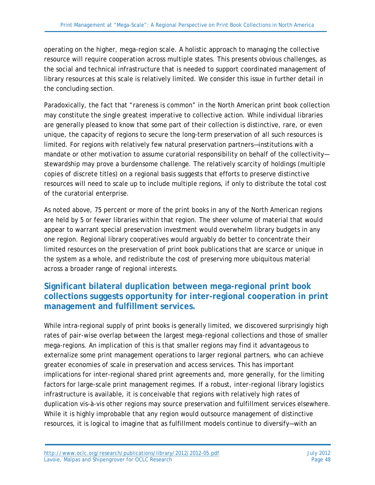operating on the higher, mega-region scale. A holistic approach to managing the collective resource will require cooperation across multiple states. This presents obvious challenges, as the social and technical infrastructure that is needed to support coordinated management of library resources at this scale is relatively limited. We consider this issue in further detail in the concluding section.

Paradoxically, the fact that "rareness is common" in the North American print book collection may constitute the single greatest imperative to collective action. While individual libraries are generally pleased to know that some part of their collection is distinctive, rare, or even unique, the capacity of regions to secure the long-term preservation of all such resources is limited. For regions with relatively few natural preservation partners—institutions with a mandate or other motivation to assume curatorial responsibility on behalf of the collectivitystewardship may prove a burdensome challenge. The relatively scarcity of holdings (multiple copies of discrete titles) on a regional basis suggests that efforts to preserve distinctive resources will need to scale up to include multiple regions, if only to distribute the total cost of the curatorial enterprise.

As noted above, 75 percent or more of the print books in any of the North American regions are held by 5 or fewer libraries within that region. The sheer volume of material that would appear to warrant special preservation investment would overwhelm library budgets in any one region. Regional library cooperatives would arguably do better to concentrate their limited resources on the preservation of print book publications that are scarce or unique in the system as a whole, and redistribute the cost of preserving more ubiquitous material across a broader range of regional interests.

### **Significant bilateral duplication between mega-regional print book collections suggests opportunity for inter-regional cooperation in print management and fulfillment services.**

While intra-regional supply of print books is generally limited, we discovered surprisingly high rates of pair-wise overlap between the largest mega-regional collections and those of smaller mega-regions. An implication of this is that smaller regions may find it advantageous to externalize some print management operations to larger regional partners, who can achieve greater economies of scale in preservation and access services. This has important implications for inter-regional shared print agreements and, more generally, for the limiting factors for large-scale print management regimes. If a robust, inter-regional library logistics infrastructure is available, it is conceivable that regions with relatively high rates of duplication vis-à-vis other regions may source preservation and fulfillment services elsewhere. While it is highly improbable that any region would outsource management of distinctive resources, it is logical to imagine that as fulfillment models continue to diversify—with an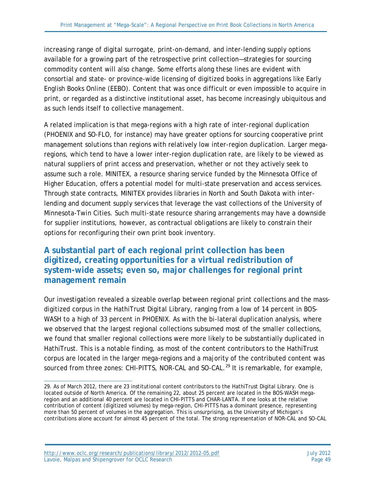increasing range of digital surrogate, print-on-demand, and inter-lending supply options available for a growing part of the retrospective print collection—strategies for sourcing commodity content will also change. Some efforts along these lines are evident with consortial and state- or province-wide licensing of digitized books in aggregations like Early English Books Online (EEBO). Content that was once difficult or even impossible to acquire in print, or regarded as a distinctive institutional asset, has become increasingly ubiquitous and as such lends itself to collective management.

A related implication is that mega-regions with a high rate of inter-regional duplication (PHOENIX and SO-FLO, for instance) may have greater options for sourcing cooperative print management solutions than regions with relatively low inter-region duplication. Larger megaregions, which tend to have a lower inter-region duplication rate, are likely to be viewed as natural suppliers of print access and preservation, whether or not they actively seek to assume such a role. MINITEX, a resource sharing service funded by the Minnesota Office of Higher Education, offers a potential model for multi-state preservation and access services. Through state contracts, MINITEX provides libraries in North and South Dakota with interlending and document supply services that leverage the vast collections of the University of Minnesota-Twin Cities. Such multi-state resource sharing arrangements may have a downside for supplier institutions, however, as contractual obligations are likely to constrain their options for reconfiguring their own print book inventory.

#### **A substantial part of each regional print collection has been digitized, creating opportunities for a virtual redistribution of system-wide assets; even so, major challenges for regional print management remain**

Our investigation revealed a sizeable overlap between regional print collections and the massdigitized corpus in the HathiTrust Digital Library, ranging from a low of 14 percent in BOS-WASH to a high of 33 percent in PHOENIX. As with the bi-lateral duplication analysis, where we observed that the largest regional collections subsumed most of the smaller collections, we found that smaller regional collections were more likely to be substantially duplicated in HathiTrust. This is a notable finding, as most of the content contributors to the HathiTrust corpus are located in the larger mega-regions and a majority of the contributed content was sourced from three zones: CHI-PITTS, NOR-CAL and SO-CAL.<sup>[29](#page-48-0)</sup> It is remarkable, for example,

<span id="page-48-0"></span> $\overline{a}$ 29. As of March 2012, there are 23 institutional content contributors to the HathiTrust Digital Library. One is located outside of North America. Of the remaining 22, about 25 percent are located in the BOS-WASH megaregion and an additional 40 percent are located in CHI-PITTS and CHAR-LANTA. If one looks at the relative contribution of content (digitized volumes) by mega-region, CHI-PITTS has a dominant presence, representing more than 50 percent of volumes in the aggregation. This is unsurprising, as the University of Michigan's contributions alone account for almost 45 percent of the total. The strong representation of NOR-CAL and SO-CAL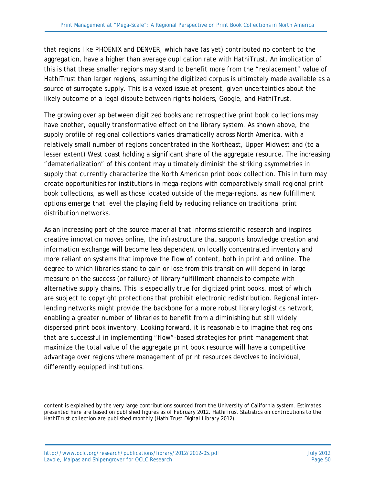that regions like PHOENIX and DENVER, which have (as yet) contributed no content to the aggregation, have a higher than average duplication rate with HathiTrust. An implication of this is that these smaller regions may stand to benefit more from the "replacement" value of HathiTrust than larger regions, assuming the digitized corpus is ultimately made available as a source of surrogate supply. This is a vexed issue at present, given uncertainties about the likely outcome of a legal dispute between rights-holders, Google, and HathiTrust.

The growing overlap between digitized books and retrospective print book collections may have another, equally transformative effect on the library system. As shown above, the supply profile of regional collections varies dramatically across North America, with a relatively small number of regions concentrated in the Northeast, Upper Midwest and (to a lesser extent) West coast holding a significant share of the aggregate resource. The increasing "dematerialization" of this content may ultimately diminish the striking asymmetries in supply that currently characterize the North American print book collection. This in turn may create opportunities for institutions in mega-regions with comparatively small regional print book collections, as well as those located outside of the mega-regions, as new fulfillment options emerge that level the playing field by reducing reliance on traditional print distribution networks.

As an increasing part of the source material that informs scientific research and inspires creative innovation moves online, the infrastructure that supports knowledge creation and information exchange will become less dependent on locally concentrated inventory and more reliant on systems that improve the flow of content, both in print and online. The degree to which libraries stand to gain or lose from this transition will depend in large measure on the success (or failure) of library fulfillment channels to compete with alternative supply chains. This is especially true for digitized print books, most of which are subject to copyright protections that prohibit electronic redistribution. Regional interlending networks might provide the backbone for a more robust library logistics network, enabling a greater number of libraries to benefit from a diminishing but still widely dispersed print book inventory. Looking forward, it is reasonable to imagine that regions that are successful in implementing "flow"-based strategies for print management that maximize the total value of the aggregate print book resource will have a competitive advantage over regions where management of print resources devolves to individual, differently equipped institutions.

content is explained by the very large contributions sourced from the University of California system. Estimates presented here are based on published figures as of February 2012. HathiTrust Statistics on contributions to the HathiTrust collection are published monthly (HathiTrust Digital Library 2012).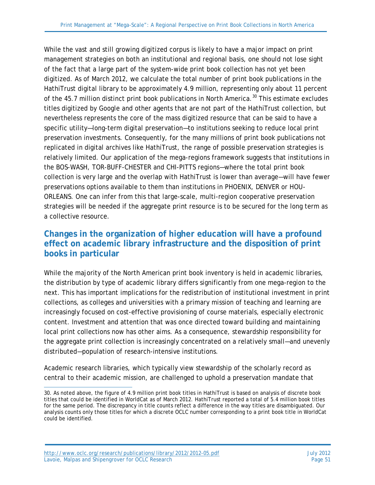While the vast and still growing digitized corpus is likely to have a major impact on print management strategies on both an institutional and regional basis, one should not lose sight of the fact that a large part of the system-wide print book collection has not yet been digitized. As of March 2012, we calculate the total number of print book publications in the HathiTrust digital library to be approximately 4.9 million, representing only about 11 percent of the 45.7 million distinct print book publications in North America.<sup>[30](#page-50-0)</sup> This estimate excludes titles digitized by Google and other agents that are not part of the HathiTrust collection, but nevertheless represents the core of the mass digitized resource that can be said to have a specific utility—long-term digital preservation—to institutions seeking to reduce local print preservation investments. Consequently, for the many millions of print book publications not replicated in digital archives like HathiTrust, the range of possible preservation strategies is relatively limited. Our application of the mega-regions framework suggests that institutions in the BOS-WASH, TOR-BUFF-CHESTER and CHI-PITTS regions—where the total print book collection is very large and the overlap with HathiTrust is lower than average—will have fewer preservations options available to them than institutions in PHOENIX, DENVER or HOU-ORLEANS. One can infer from this that large-scale, multi-region cooperative preservation strategies will be needed if the aggregate print resource is to be secured for the long term as a collective resource.

### **Changes in the organization of higher education will have a profound effect on academic library infrastructure and the disposition of print books in particular**

While the majority of the North American print book inventory is held in academic libraries, the distribution by type of academic library differs significantly from one mega-region to the next. This has important implications for the redistribution of institutional investment in print collections, as colleges and universities with a primary mission of teaching and learning are increasingly focused on cost-effective provisioning of course materials, especially electronic content. Investment and attention that was once directed toward building and maintaining local print collections now has other aims. As a consequence, stewardship responsibility for the aggregate print collection is increasingly concentrated on a relatively small—and unevenly distributed—population of research-intensive institutions.

Academic research libraries, which typically view stewardship of the scholarly record as central to their academic mission, are challenged to uphold a preservation mandate that

<http://www.oclc.org/research/publications/library/2012/2012-05.pdf> July 2012 Lavoie, Malpas and Shipengrover for OCLC Research Page 51

<span id="page-50-0"></span> $\overline{a}$ 30. As noted above, the figure of 4.9 million print book titles in HathiTrust is based on analysis of discrete book titles that could be identified in WorldCat as of March 2012. HathiTrust reported a total of 5.4 million book titles for the same period. The discrepancy in title counts reflect a difference in the way titles are disambiguated. Our analysis counts only those titles for which a discrete OCLC number corresponding to a print book title in WorldCat could be identified.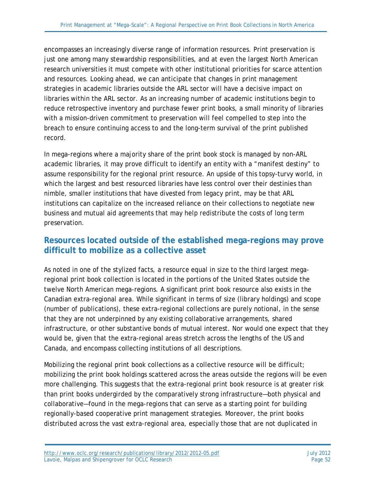encompasses an increasingly diverse range of information resources. Print preservation is just one among many stewardship responsibilities, and at even the largest North American research universities it must compete with other institutional priorities for scarce attention and resources. Looking ahead, we can anticipate that changes in print management strategies in academic libraries outside the ARL sector will have a decisive impact on libraries within the ARL sector. As an increasing number of academic institutions begin to reduce retrospective inventory and purchase fewer print books, a small minority of libraries with a mission-driven commitment to preservation will feel compelled to step into the breach to ensure continuing access to and the long-term survival of the print published record.

In mega-regions where a majority share of the print book stock is managed by non-ARL academic libraries, it may prove difficult to identify an entity with a "manifest destiny" to assume responsibility for the regional print resource. An upside of this topsy-turvy world, in which the largest and best resourced libraries have less control over their destinies than nimble, smaller institutions that have divested from legacy print, may be that ARL institutions can capitalize on the increased reliance on their collections to negotiate new business and mutual aid agreements that may help redistribute the costs of long term preservation.

### **Resources located outside of the established mega-regions may prove difficult to mobilize as a collective asset**

As noted in one of the stylized facts, a resource equal in size to the third largest megaregional print book collection is located in the portions of the United States outside the twelve North American mega-regions. A significant print book resource also exists in the Canadian extra-regional area. While significant in terms of size (library holdings) and scope (number of publications), these extra-regional collections are purely notional, in the sense that they are not underpinned by any existing collaborative arrangements, shared infrastructure, or other substantive bonds of mutual interest. Nor would one expect that they would be, given that the extra-regional areas stretch across the lengths of the US and Canada, and encompass collecting institutions of all descriptions.

Mobilizing the regional print book collections as a collective resource will be difficult; mobilizing the print book holdings scattered across the areas outside the regions will be even more challenging. This suggests that the extra-regional print book resource is at greater risk than print books undergirded by the comparatively strong infrastructure—both physical and collaborative—found in the mega-regions that can serve as a starting point for building regionally-based cooperative print management strategies. Moreover, the print books distributed across the vast extra-regional area, especially those that are not duplicated in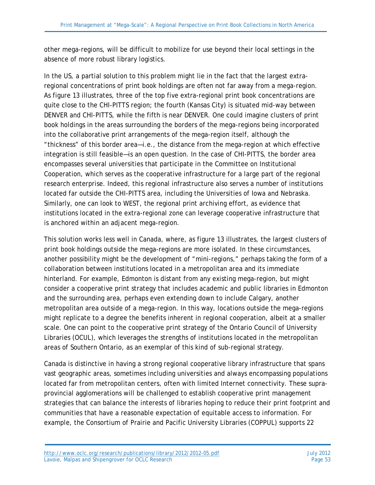other mega-regions, will be difficult to mobilize for use beyond their local settings in the absence of more robust library logistics.

In the US, a partial solution to this problem might lie in the fact that the largest extraregional concentrations of print book holdings are often not far away from a mega-region. As figure 13 illustrates, three of the top five extra-regional print book concentrations are quite close to the CHI-PITTS region; the fourth (Kansas City) is situated mid-way between DENVER and CHI-PITTS, while the fifth is near DENVER. One could imagine clusters of print book holdings in the areas surrounding the borders of the mega-regions being incorporated into the collaborative print arrangements of the mega-region itself, although the "thickness" of this border area—i.e., the distance from the mega-region at which effective integration is still feasible—is an open question. In the case of CHI-PITTS, the border area encompasses several universities that participate in the Committee on Institutional Cooperation, which serves as the cooperative infrastructure for a large part of the regional research enterprise. Indeed, this regional infrastructure also serves a number of institutions located far outside the CHI-PITTS area, including the Universities of Iowa and Nebraska. Similarly, one can look to WEST, the regional print archiving effort, as evidence that institutions located in the extra-regional zone can leverage cooperative infrastructure that is anchored within an adjacent mega-region.

This solution works less well in Canada, where, as figure 13 illustrates, the largest clusters of print book holdings outside the mega-regions are more isolated. In these circumstances, another possibility might be the development of "mini-regions," perhaps taking the form of a collaboration between institutions located in a metropolitan area and its immediate hinterland. For example, Edmonton is distant from any existing mega-region, but might consider a cooperative print strategy that includes academic and public libraries in Edmonton and the surrounding area, perhaps even extending down to include Calgary, another metropolitan area outside of a mega-region. In this way, locations outside the mega-regions might replicate to a degree the benefits inherent in regional cooperation, albeit at a smaller scale. One can point to the cooperative print strategy of the Ontario Council of University Libraries (OCUL), which leverages the strengths of institutions located in the metropolitan areas of Southern Ontario, as an exemplar of this kind of sub-regional strategy.

Canada is distinctive in having a strong regional cooperative library infrastructure that spans vast geographic areas, sometimes including universities and always encompassing populations located far from metropolitan centers, often with limited Internet connectivity. These supraprovincial agglomerations will be challenged to establish cooperative print management strategies that can balance the interests of libraries hoping to reduce their print footprint and communities that have a reasonable expectation of equitable access to information. For example, the Consortium of Prairie and Pacific University Libraries (COPPUL) supports 22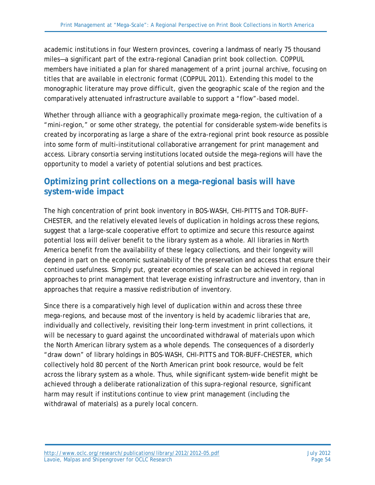academic institutions in four Western provinces, covering a landmass of nearly 75 thousand miles—a significant part of the extra-regional Canadian print book collection. COPPUL members have initiated a plan for shared management of a print journal archive, focusing on titles that are available in electronic format (COPPUL 2011). Extending this model to the monographic literature may prove difficult, given the geographic scale of the region and the comparatively attenuated infrastructure available to support a "flow"-based model.

Whether through alliance with a geographically proximate mega-region, the cultivation of a "mini-region," or some other strategy, the potential for considerable system-wide benefits is created by incorporating as large a share of the extra-regional print book resource as possible into some form of multi-institutional collaborative arrangement for print management and access. Library consortia serving institutions located outside the mega-regions will have the opportunity to model a variety of potential solutions and best practices.

### **Optimizing print collections on a mega-regional basis will have system-wide impact**

The high concentration of print book inventory in BOS-WASH, CHI-PITTS and TOR-BUFF-CHESTER, and the relatively elevated levels of duplication in holdings across these regions, suggest that a large-scale cooperative effort to optimize and secure this resource against potential loss will deliver benefit to the library system as a whole. All libraries in North America benefit from the availability of these legacy collections, and their longevity will depend in part on the economic sustainability of the preservation and access that ensure their continued usefulness. Simply put, greater economies of scale can be achieved in regional approaches to print management that leverage existing infrastructure and inventory, than in approaches that require a massive redistribution of inventory.

Since there is a comparatively high level of duplication within and across these three mega-regions, and because most of the inventory is held by academic libraries that are, individually and collectively, revisiting their long-term investment in print collections, it will be necessary to quard against the uncoordinated withdrawal of materials upon which the North American library system as a whole depends. The consequences of a disorderly "draw down" of library holdings in BOS-WASH, CHI-PITTS and TOR-BUFF-CHESTER, which collectively hold 80 percent of the North American print book resource, would be felt across the library system as a whole. Thus, while significant system-wide benefit might be achieved through a deliberate rationalization of this supra-regional resource, significant harm may result if institutions continue to view print management (including the withdrawal of materials) as a purely local concern.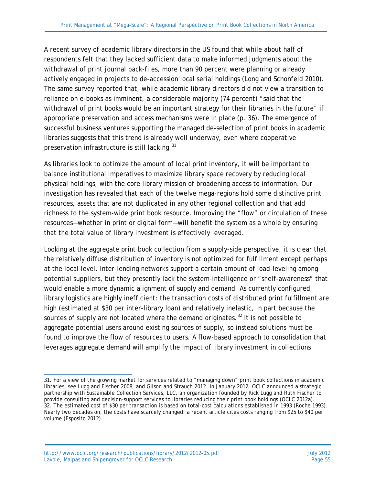A recent survey of academic library directors in the US found that while about half of respondents felt that they lacked sufficient data to make informed judgments about the withdrawal of print journal back-files, more than 90 percent were planning or already actively engaged in projects to de-accession local serial holdings (Long and Schonfeld 2010). The same survey reported that, while academic library directors did not view a transition to reliance on e-books as imminent, a considerable majority (74 percent) "said that the withdrawal of print books would be an important strategy for their libraries in the future" if appropriate preservation and access mechanisms were in place (p. 36). The emergence of successful business ventures supporting the managed de-selection of print books in academic libraries suggests that this trend is already well underway, even where cooperative preservation infrastructure is still lacking.<sup>[31](#page-54-0)</sup>

As libraries look to optimize the amount of local print inventory, it will be important to balance institutional imperatives to maximize library space recovery by reducing local physical holdings, with the core library mission of broadening access to information. Our investigation has revealed that each of the twelve mega-regions hold some distinctive print resources, assets that are not duplicated in any other regional collection and that add richness to the system-wide print book resource. Improving the "flow" or circulation of these resources—whether in print or digital form—will benefit the system as a whole by ensuring that the total value of library investment is effectively leveraged.

Looking at the aggregate print book collection from a supply-side perspective, it is clear that the relatively diffuse distribution of inventory is not optimized for fulfillment except perhaps at the local level. Inter-lending networks support a certain amount of load-leveling among potential suppliers, but they presently lack the system-intelligence or "shelf-awareness" that would enable a more dynamic alignment of supply and demand. As currently configured, library logistics are highly inefficient: the transaction costs of distributed print fulfillment are high (estimated at \$30 per inter-library loan) and relatively inelastic, in part because the sources of supply are not located where the demand originates.<sup>[32](#page-54-1)</sup> It is not possible to aggregate potential users around existing sources of supply, so instead solutions must be found to improve the flow of resources to users. A flow-based approach to consolidation that leverages aggregate demand will amplify the impact of library investment in collections

<span id="page-54-1"></span><span id="page-54-0"></span> $\overline{a}$ 31. For a view of the growing market for services related to "managing down" print book collections in academic libraries, see Lugg and Fischer 2008, and Gilson and Strauch 2012. In January 2012, OCLC announced a strategic partnership with Sustainable Collection Services, LLC, an organization founded by Rick Lugg and Ruth Fischer to provide consulting and decision-support services to libraries reducing their print book holdings (OCLC 2012a). 32. The estimated cost of \$30 per transaction is based on total-cost calculations established in 1993 (Roche 1993). Nearly two decades on, the costs have scarcely changed: a recent article cites costs ranging from \$25 to \$40 per volume (Esposito 2012).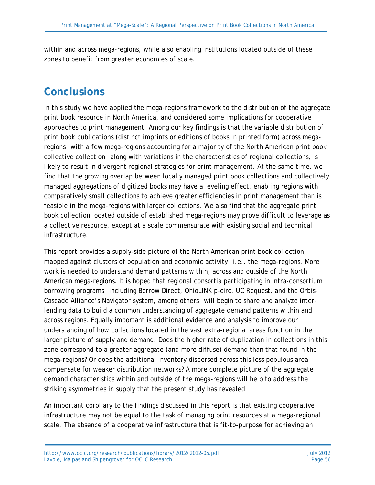within and across mega-regions, while also enabling institutions located outside of these zones to benefit from greater economies of scale.

## **Conclusions**

In this study we have applied the mega-regions framework to the distribution of the aggregate print book resource in North America, and considered some implications for cooperative approaches to print management. Among our key findings is that the variable distribution of print book publications (distinct imprints or editions of books in printed form) across megaregions—with a few mega-regions accounting for a majority of the North American print book collective collection—along with variations in the characteristics of regional collections, is likely to result in divergent regional strategies for print management. At the same time, we find that the growing overlap between locally managed print book collections and collectively managed aggregations of digitized books may have a leveling effect, enabling regions with comparatively small collections to achieve greater efficiencies in print management than is feasible in the mega-regions with larger collections. We also find that the aggregate print book collection located outside of established mega-regions may prove difficult to leverage as a collective resource, except at a scale commensurate with existing social and technical infrastructure.

This report provides a supply-side picture of the North American print book collection, mapped against clusters of population and economic activity—i.e., the mega-regions. More work is needed to understand demand patterns within, across and outside of the North American mega-regions. It is hoped that regional consortia participating in intra-consortium borrowing programs—including Borrow Direct, OhioLINK p-circ, UC Request, and the Orbis-Cascade Alliance's Navigator system, among others—will begin to share and analyze interlending data to build a common understanding of aggregate demand patterns within and across regions. Equally important is additional evidence and analysis to improve our understanding of how collections located in the vast extra-regional areas function in the larger picture of supply and demand. Does the higher rate of duplication in collections in this zone correspond to a greater aggregate (and more diffuse) demand than that found in the mega-regions? Or does the additional inventory dispersed across this less populous area compensate for weaker distribution networks? A more complete picture of the aggregate demand characteristics within and outside of the mega-regions will help to address the striking asymmetries in supply that the present study has revealed.

An important corollary to the findings discussed in this report is that existing cooperative infrastructure may not be equal to the task of managing print resources at a mega-regional scale. The absence of a cooperative infrastructure that is fit-to-purpose for achieving an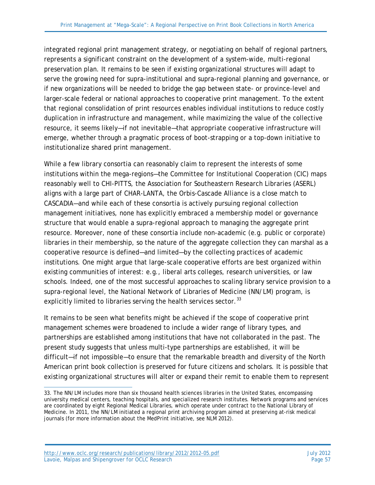integrated regional print management strategy, or negotiating on behalf of regional partners, represents a significant constraint on the development of a system-wide, multi-regional preservation plan. It remains to be seen if existing organizational structures will adapt to serve the growing need for supra-institutional and supra-regional planning and governance, or if new organizations will be needed to bridge the gap between state- or province-level and larger-scale federal or national approaches to cooperative print management. To the extent that regional consolidation of print resources enables individual institutions to reduce costly duplication in infrastructure and management, while maximizing the value of the collective resource, it seems likely—if not inevitable—that appropriate cooperative infrastructure will emerge, whether through a pragmatic process of boot-strapping or a top-down initiative to institutionalize shared print management.

While a few library consortia can reasonably claim to represent the interests of some institutions within the mega-regions—the Committee for Institutional Cooperation (CIC) maps reasonably well to CHI-PITTS, the Association for Southeastern Research Libraries (ASERL) aligns with a large part of CHAR-LANTA, the Orbis-Cascade Alliance is a close match to CASCADIA—and while each of these consortia is actively pursuing regional collection management initiatives, none has explicitly embraced a membership model or governance structure that would enable a supra-regional approach to managing the aggregate print resource. Moreover, none of these consortia include non-academic (e.g. public or corporate) libraries in their membership, so the nature of the aggregate collection they can marshal as a cooperative resource is defined—and limited—by the collecting practices of academic institutions. One might argue that large-scale cooperative efforts are best organized within existing communities of interest: e.g., liberal arts colleges, research universities, or law schools. Indeed, one of the most successful approaches to scaling library service provision to a supra-regional level, the National Network of Libraries of Medicine (NN/LM) program, is explicitly limited to libraries serving the health services sector.<sup>[33](#page-56-0)</sup>

It remains to be seen what benefits might be achieved if the scope of cooperative print management schemes were broadened to include a wider range of library types, and partnerships are established among institutions that have not collaborated in the past. The present study suggests that unless multi-type partnerships are established, it will be difficult—if not impossible—to ensure that the remarkable breadth and diversity of the North American print book collection is preserved for future citizens and scholars. It is possible that existing organizational structures will alter or expand their remit to enable them to represent

 $\overline{a}$ 

<span id="page-56-0"></span><sup>33.</sup> The NN/LM includes more than six thousand health sciences libraries in the United States, encompassing university medical centers, teaching hospitals, and specialized research institutes. Network programs and services are coordinated by eight Regional Medical Libraries, which operate under contract to the National Library of Medicine. In 2011, the NN/LM initiated a regional print archiving program aimed at preserving at-risk medical journals (for more information about the MedPrint initiative, see NLM 2012).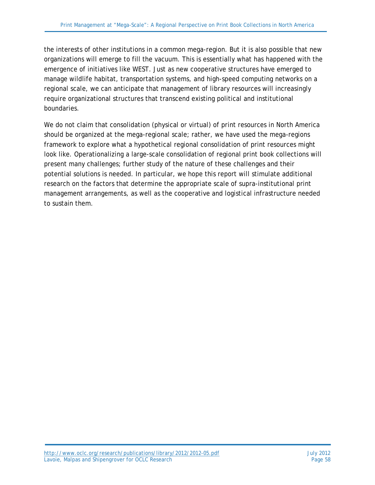the interests of other institutions in a common mega-region. But it is also possible that new organizations will emerge to fill the vacuum. This is essentially what has happened with the emergence of initiatives like WEST. Just as new cooperative structures have emerged to manage wildlife habitat, transportation systems, and high-speed computing networks on a regional scale, we can anticipate that management of library resources will increasingly require organizational structures that transcend existing political and institutional boundaries.

We do not claim that consolidation (physical or virtual) of print resources in North America should be organized at the mega-regional scale; rather, we have used the mega-regions framework to explore what a hypothetical regional consolidation of print resources might look like. Operationalizing a large-scale consolidation of regional print book collections will present many challenges; further study of the nature of these challenges and their potential solutions is needed. In particular, we hope this report will stimulate additional research on the factors that determine the appropriate scale of supra-institutional print management arrangements, as well as the cooperative and logistical infrastructure needed to sustain them.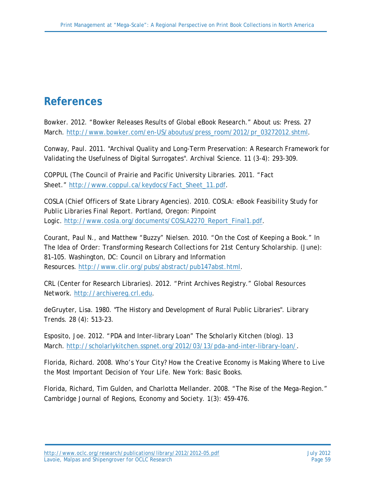## **References**

Bowker. 2012. "Bowker Releases Results of Global eBook Research." About us: Press. 27 March. [http://www.bowker.com/en-US/aboutus/press\\_room/2012/pr\\_03272012.shtml.](http://www.bowker.com/en-US/aboutus/press_room/2012/pr_03272012.shtml)

Conway, Paul. 2011. "Archival Quality and Long-Term Preservation: A Research Framework for Validating the Usefulness of Digital Surrogates". *Archival Science*. 11 (3-4): 293-309.

COPPUL (The Council of Prairie and Pacific University Libraries. 2011. "Fact Sheet." [http://www.coppul.ca/keydocs/Fact\\_Sheet\\_11.pdf.](http://www.coppul.ca/keydocs/Fact_Sheet_11.pdf)

COSLA (Chief Officers of State Library Agencies). *2010. COSLA: eBook Feasibility Study for Public Libraries Final Report.* Portland, Oregon: Pinpoint Logic. [http://www.cosla.org/documents/COSLA2270\\_Report\\_Final1.pdf.](http://www.cosla.org/documents/COSLA2270_Report_Final1.pdf)

Courant, Paul N., and Matthew "Buzzy" Nielsen. 2010. "On the Cost of Keeping a Book." In *The Idea of Order: Transforming Research Collections for 21st Century Scholarship*. (June): 81–105. Washington, DC: Council on Library and Information Resources. [http://www.clir.org/pubs/abstract/pub147abst.html.](http://www.clir.org/pubs/abstract/pub147abst.html)

CRL (Center for Research Libraries). 2012. "Print Archives Registry." *Global Resources Network*. [http://archivereg.crl.edu.](http://archivereg.crl.edu/)

deGruyter, Lisa. 1980. "The History and Development of Rural Public Libraries". *Library Trends*. 28 (4): 513-23.

Esposito, Joe. 2012. "PDA and Inter-library Loan" *The Scholarly Kitchen* (blog). 13 March. [http://scholarlykitchen.sspnet.org/2012/03/13/pda-and-inter-library-loan/.](http://scholarlykitchen.sspnet.org/2012/03/13/pda-and-inter-library-loan/)

Florida, Richard. 2008. *Who's Your City? How the Creative Economy is Making Where to Live the Most Important Decision of Your Life*. New York: Basic Books.

Florida, Richard, Tim Gulden, and Charlotta Mellander. 2008. "The Rise of the Mega-Region." *Cambridge Journal of Regions, Economy and Society*. 1(3): 459-476.

<http://www.oclc.org/research/publications/library/2012/2012-05.pdf> July 2012 Lavoie, Malpas and Shipengrover for OCLC Research **Page 1986** 2012 12:38 Page 59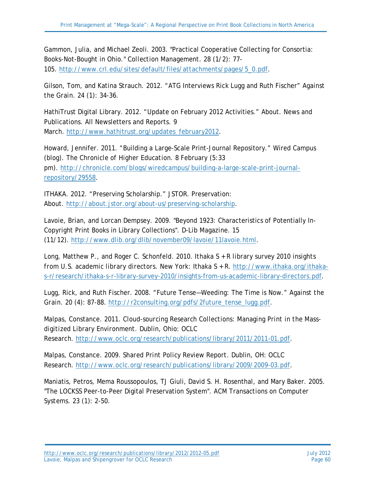Gammon, Julia, and Michael Zeoli. 2003. "Practical Cooperative Collecting for Consortia: Books-Not-Bought in Ohio." *Collection Management*. 28 (1/2): 77- 105. [http://www.crl.edu/sites/default/files/attachments/pages/5\\_0.pdf.](http://www.crl.edu/sites/default/files/attachments/pages/5_0.pdf)

Gilson, Tom, and Katina Strauch. 2012. "ATG Interviews Rick Lugg and Ruth Fischer" *Against the Grain.* 24 (1): 34-36.

HathiTrust Digital Library. 2012. "Update on February 2012 Activities." About. News and Publications. All Newsletters and Reports. 9 March. [http://www.hathitrust.org/updates\\_february2012.](http://www.hathitrust.org/updates_february2012)

Howard, Jennifer. 2011. "Building a Large-Scale Print-Journal Repository." Wired Campus (blog). *The Chronicle of Higher Education*. 8 February (5:33 pm). [http://chronicle.com/blogs/wiredcampus/building-a-large-scale-print-journal](http://chronicle.com/blogs/wiredcampus/building-a-large-scale-print-journal-repository/29558)[repository/29558.](http://chronicle.com/blogs/wiredcampus/building-a-large-scale-print-journal-repository/29558)

ITHAKA. 2012. "Preserving Scholarship." JSTOR. Preservation: About. [http://about.jstor.org/about-us/preserving-scholarship.](http://about.jstor.org/about-us/preserving-scholarship)

Lavoie, Brian, and Lorcan Dempsey. 2009. "Beyond 1923: Characteristics of Potentially In-Copyright Print Books in Library Collections". *D-Lib Magazine*. 15 (11/12). [http://www.dlib.org/dlib/november09/lavoie/11lavoie.html.](http://www.dlib.org/dlib/november09/lavoie/11lavoie.html)

Long, Matthew P., and Roger C. Schonfeld. 2010. *Ithaka S + R library survey 2010 insights from U.S. academic library directors*. New York: Ithaka S + R. [http://www.ithaka.org/ithaka](http://www.ithaka.org/ithaka-s-r/research/ithaka-s-r-library-survey-2010/insights-from-us-academic-library-directors.pdf)[s-r/research/ithaka-s-r-library-survey-2010/insights-from-us-academic-library-directors.pdf.](http://www.ithaka.org/ithaka-s-r/research/ithaka-s-r-library-survey-2010/insights-from-us-academic-library-directors.pdf)

Lugg, Rick, and Ruth Fischer. 2008. "Future Tense—Weeding: The Time is Now." *Against the Grain*. 20 (4): 87-88. [http://r2consulting.org/pdfs/2future\\_tense\\_lugg.pdf.](http://r2consulting.org/pdfs/2future_tense_lugg.pdf)

Malpas, Constance. 2011. *Cloud-sourcing Research Collections: Managing Print in the Massdigitized Library Environment.* Dublin, Ohio: OCLC Research. [http://www.oclc.org/research/publications/library/2011/2011-01.pdf.](http://www.oclc.org/research/publications/library/2011/2011-01.pdf)

Malpas, Constance. 2009. *Shared Print Policy Review Report*. Dublin, OH: OCLC Research. [http://www.oclc.org/research/publications/library/2009/2009-03.pdf.](http://www.oclc.org/research/publications/library/2009/2009-03.pdf)

Maniatis, Petros, Mema Roussopoulos, TJ Giuli, David S. H. Rosenthal, and Mary Baker. 2005. "The LOCKSS Peer-to-Peer Digital Preservation System". *ACM Transactions on Computer Systems*. 23 (1): 2-50.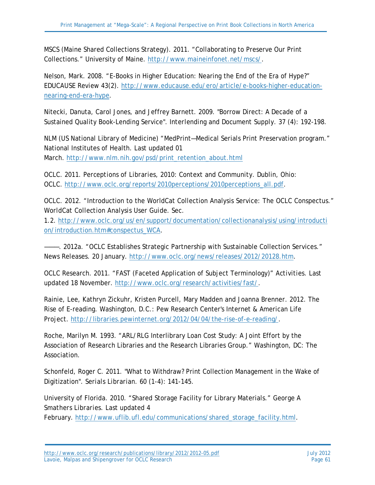MSCS (Maine Shared Collections Strategy). 2011. "Collaborating to Preserve Our Print Collections." University of Maine. [http://www.maineinfonet.net/mscs/.](http://www.maineinfonet.net/mscs/)

Nelson, Mark. 2008. "E-Books in Higher Education: Nearing the End of the Era of Hype?" *EDUCAUSE Review* 43(2). [http://www.educause.edu/ero/article/e-books-higher-education](http://www.educause.edu/ero/article/e-books-higher-education-nearing-end-era-hype)[nearing-end-era-hype.](http://www.educause.edu/ero/article/e-books-higher-education-nearing-end-era-hype)

Nitecki, Danuta, Carol Jones, and Jeffrey Barnett. 2009. "Borrow Direct: A Decade of a Sustained Quality Book-Lending Service". *Interlending and Document Supply*. 37 (4): 192-198.

NLM (US National Library of Medicine) "MedPrint—Medical Serials Print Preservation program." National Institutes of Health. Last updated 01 March. [http://www.nlm.nih.gov/psd/print\\_retention\\_about.html](http://www.nlm.nih.gov/psd/print_retention_about.html)

OCLC. 2011. *Perceptions of Libraries, 2010: Context and Community*. Dublin, Ohio: OCLC. [http://www.oclc.org/reports/2010perceptions/2010perceptions\\_all.pdf.](http://www.oclc.org/reports/2010perceptions/2010perceptions_all.pdf)

OCLC. 2012. "Introduction to the WorldCat Collection Analysis Service: The OCLC Conspectus." *WorldCat Collection Analysis User Guide*. Sec.

1.2. [http://www.oclc.org/us/en/support/documentation/collectionanalysis/using/introducti](http://www.oclc.org/us/en/support/documentation/collectionanalysis/using/introduction/introduction.htm#conspectus_WCA) [on/introduction.htm#conspectus\\_WCA.](http://www.oclc.org/us/en/support/documentation/collectionanalysis/using/introduction/introduction.htm#conspectus_WCA)

———. 2012a. "OCLC Establishes Strategic Partnership with Sustainable Collection Services." *News Releases.* 20 January. [http://www.oclc.org/news/releases/2012/20128.htm.](http://www.oclc.org/news/releases/2012/20128.htm)

OCLC Research. 2011. "FAST (Faceted Application of Subject Terminology)" *Activities.* Last updated 18 November. [http://www.oclc.org/research/activities/fast/.](http://www.oclc.org/research/activities/fast/)

Rainie, Lee, Kathryn Zickuhr, Kristen Purcell, Mary Madden and Joanna Brenner. 2012. The Rise of E-reading. Washington, D.C.: Pew Research Center's Internet & American Life Project. [http://libraries.pewinternet.org/2012/04/04/the-rise-of-e-reading/.](http://libraries.pewinternet.org/2012/04/04/the-rise-of-e-reading/)

Roche, Marilyn M. 1993. "ARL/RLG Interlibrary Loan Cost Study: A Joint Effort by the Association of Research Libraries and the Research Libraries Group." Washington, DC: The Association.

Schonfeld, Roger C. 2011. "What to Withdraw? Print Collection Management in the Wake of Digitization". *Serials Librarian*. 60 (1-4): 141-145.

University of Florida. 2010. "Shared Storage Facility for Library Materials." *George A Smathers Libraries*. Last updated 4

February. [http://www.uflib.ufl.edu/communications/shared\\_storage\\_facility.html.](http://www.uflib.ufl.edu/communications/shared_storage_facility.html)